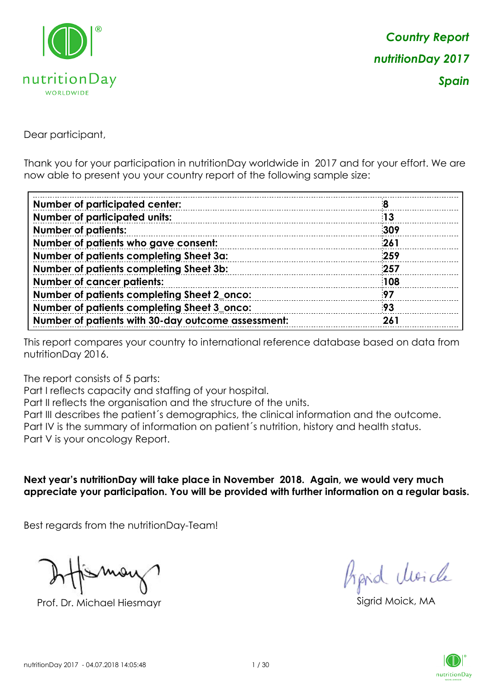

Dear participant,

Thank you for your participation in nutritionDay worldwide in 2017 and for your effort. We are now able to present you your country report of the following sample size:

| <b>Number of participated center:</b>              |     |
|----------------------------------------------------|-----|
| <b>Number of participated units:</b>               | 13  |
| <b>Number of patients:</b>                         | 309 |
| Number of patients who gave consent:               | 261 |
| Number of patients completing Sheet 3a:            | 259 |
| Number of patients completing Sheet 3b:            | 257 |
| <b>Number of cancer patients:</b>                  | 108 |
| Number of patients completing Sheet 2_onco:        | 97  |
| Number of patients completing Sheet 3_onco:        | 93  |
| Number of patients with 30-day outcome assessment: | 261 |

This report compares your country to international reference database based on data from nutritionDay 2016.

The report consists of 5 parts:

Part I reflects capacity and staffing of your hospital.

Part II reflects the organisation and the structure of the units.

Part III describes the patient´s demographics, the clinical information and the outcome.

Part IV is the summary of information on patient´s nutrition, history and health status.

Part V is your oncology Report.

**Next year's nutritionDay will take place in November 2018. Again, we would very much appreciate your participation. You will be provided with further information on a regular basis.**

Best regards from the nutritionDay-Team!

Prof. Dr. Michael Hiesmayr Sigrid Moick, MA

fraid Moicle

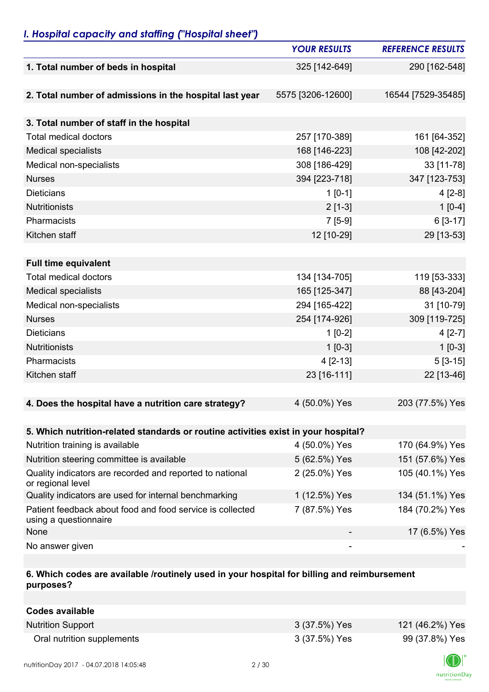## *I. Hospital capacity and staffing ("Hospital sheet")*

|                                                                                    | <b>YOUR RESULTS</b> | <b>REFERENCE RESULTS</b> |
|------------------------------------------------------------------------------------|---------------------|--------------------------|
| 1. Total number of beds in hospital                                                | 325 [142-649]       | 290 [162-548]            |
|                                                                                    |                     |                          |
| 2. Total number of admissions in the hospital last year                            | 5575 [3206-12600]   | 16544 [7529-35485]       |
|                                                                                    |                     |                          |
| 3. Total number of staff in the hospital                                           |                     |                          |
| <b>Total medical doctors</b>                                                       | 257 [170-389]       | 161 [64-352]             |
| <b>Medical specialists</b>                                                         | 168 [146-223]       | 108 [42-202]             |
| Medical non-specialists                                                            | 308 [186-429]       | 33 [11-78]               |
| <b>Nurses</b>                                                                      | 394 [223-718]       | 347 [123-753]            |
| <b>Dieticians</b>                                                                  | $1 [0-1]$           | $4[2-8]$                 |
| <b>Nutritionists</b>                                                               | $2[1-3]$            | $1[0-4]$                 |
| Pharmacists                                                                        | $7[5-9]$            | 6 [3-17]                 |
| Kitchen staff                                                                      | 12 [10-29]          | 29 [13-53]               |
|                                                                                    |                     |                          |
| <b>Full time equivalent</b>                                                        |                     |                          |
| <b>Total medical doctors</b>                                                       | 134 [134-705]       | 119 [53-333]             |
| <b>Medical specialists</b>                                                         | 165 [125-347]       | 88 [43-204]              |
| Medical non-specialists                                                            | 294 [165-422]       | 31 [10-79]               |
| <b>Nurses</b>                                                                      | 254 [174-926]       | 309 [119-725]            |
| <b>Dieticians</b>                                                                  | $1[0-2]$            | $4[2-7]$                 |
| <b>Nutritionists</b>                                                               | $1$ [0-3]           | $1[0-3]$                 |
| Pharmacists                                                                        | $4[2-13]$           | $5[3-15]$                |
| Kitchen staff                                                                      | 23 [16-111]         | 22 [13-46]               |
|                                                                                    |                     |                          |
| 4. Does the hospital have a nutrition care strategy?                               | 4 (50.0%) Yes       | 203 (77.5%) Yes          |
|                                                                                    |                     |                          |
| 5. Which nutrition-related standards or routine activities exist in your hospital? |                     |                          |
| Nutrition training is available                                                    | 4 (50.0%) Yes       | 170 (64.9%) Yes          |
| Nutrition steering committee is available                                          | 5 (62.5%) Yes       | 151 (57.6%) Yes          |
| Quality indicators are recorded and reported to national<br>or regional level      | 2 (25.0%) Yes       | 105 (40.1%) Yes          |
| Quality indicators are used for internal benchmarking                              | 1 (12.5%) Yes       | 134 (51.1%) Yes          |
| Patient feedback about food and food service is collected<br>using a questionnaire | 7 (87.5%) Yes       | 184 (70.2%) Yes          |
| None                                                                               |                     | 17 (6.5%) Yes            |
| No answer given                                                                    |                     |                          |

### **6. Which codes are available /routinely used in your hospital for billing and reimbursement purposes?**

| Codes available            |               |                 |
|----------------------------|---------------|-----------------|
| <b>Nutrition Support</b>   | 3 (37.5%) Yes | 121 (46.2%) Yes |
| Oral nutrition supplements | 3 (37.5%) Yes | 99 (37.8%) Yes  |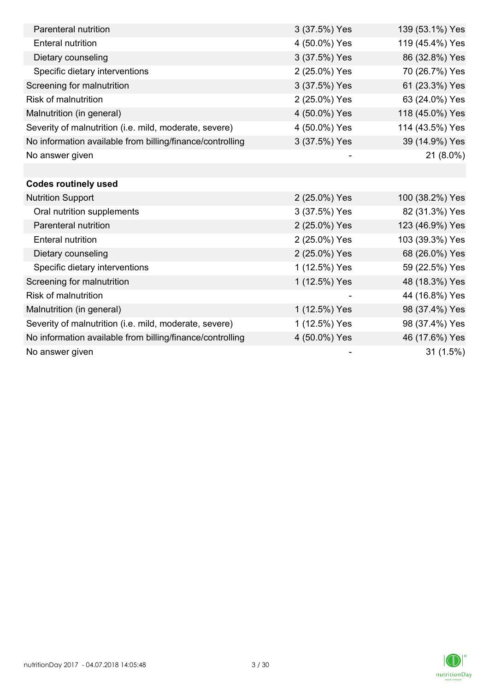| Parenteral nutrition                                      | 3 (37.5%) Yes | 139 (53.1%) Yes |
|-----------------------------------------------------------|---------------|-----------------|
| <b>Enteral nutrition</b>                                  | 4 (50.0%) Yes | 119 (45.4%) Yes |
| Dietary counseling                                        | 3 (37.5%) Yes | 86 (32.8%) Yes  |
| Specific dietary interventions                            | 2 (25.0%) Yes | 70 (26.7%) Yes  |
| Screening for malnutrition                                | 3 (37.5%) Yes | 61 (23.3%) Yes  |
| Risk of malnutrition                                      | 2 (25.0%) Yes | 63 (24.0%) Yes  |
| Malnutrition (in general)                                 | 4 (50.0%) Yes | 118 (45.0%) Yes |
| Severity of malnutrition (i.e. mild, moderate, severe)    | 4 (50.0%) Yes | 114 (43.5%) Yes |
| No information available from billing/finance/controlling | 3 (37.5%) Yes | 39 (14.9%) Yes  |
| No answer given                                           |               | 21 (8.0%)       |
|                                                           |               |                 |
| <b>Codes routinely used</b>                               |               |                 |
| <b>Nutrition Support</b>                                  | 2 (25.0%) Yes | 100 (38.2%) Yes |
| Oral nutrition supplements                                | 3 (37.5%) Yes | 82 (31.3%) Yes  |
| Parenteral nutrition                                      | 2 (25.0%) Yes | 123 (46.9%) Yes |
| <b>Enteral nutrition</b>                                  | 2 (25.0%) Yes | 103 (39.3%) Yes |
| Dietary counseling                                        | 2 (25.0%) Yes | 68 (26.0%) Yes  |
| Specific dietary interventions                            | 1 (12.5%) Yes | 59 (22.5%) Yes  |
| Screening for malnutrition                                | 1 (12.5%) Yes | 48 (18.3%) Yes  |
| <b>Risk of malnutrition</b>                               |               | 44 (16.8%) Yes  |
| Malnutrition (in general)                                 | 1 (12.5%) Yes | 98 (37.4%) Yes  |
| Severity of malnutrition (i.e. mild, moderate, severe)    | 1 (12.5%) Yes | 98 (37.4%) Yes  |
| No information available from billing/finance/controlling | 4 (50.0%) Yes | 46 (17.6%) Yes  |
| No answer given                                           |               | 31(1.5%)        |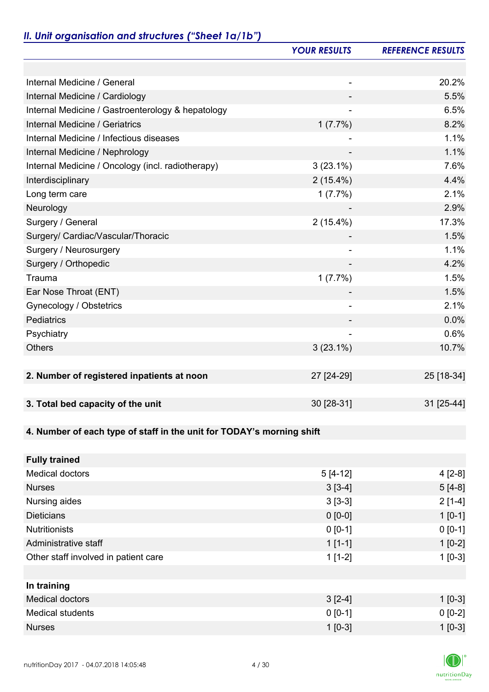# *II. Unit organisation and structures ("Sheet 1a/1b")*

|                                                                       | <b>YOUR RESULTS</b> | <b>REFERENCE RESULTS</b> |
|-----------------------------------------------------------------------|---------------------|--------------------------|
|                                                                       |                     |                          |
| Internal Medicine / General                                           |                     | 20.2%                    |
| Internal Medicine / Cardiology                                        |                     | 5.5%                     |
| Internal Medicine / Gastroenterology & hepatology                     |                     | 6.5%                     |
| Internal Medicine / Geriatrics                                        | 1(7.7%)             | 8.2%                     |
| Internal Medicine / Infectious diseases                               |                     | 1.1%                     |
| Internal Medicine / Nephrology                                        |                     | 1.1%                     |
| Internal Medicine / Oncology (incl. radiotherapy)                     | $3(23.1\%)$         | 7.6%                     |
| Interdisciplinary                                                     | $2(15.4\%)$         | 4.4%                     |
| Long term care                                                        | 1(7.7%)             | 2.1%                     |
| Neurology                                                             |                     | 2.9%                     |
| Surgery / General                                                     | $2(15.4\%)$         | 17.3%                    |
| Surgery/ Cardiac/Vascular/Thoracic                                    |                     | 1.5%                     |
| Surgery / Neurosurgery                                                |                     | 1.1%                     |
| Surgery / Orthopedic                                                  |                     | 4.2%                     |
| Trauma                                                                | 1(7.7%)             | 1.5%                     |
| Ear Nose Throat (ENT)                                                 |                     | 1.5%                     |
| Gynecology / Obstetrics                                               |                     | 2.1%                     |
| Pediatrics                                                            |                     | 0.0%                     |
| Psychiatry                                                            |                     | 0.6%                     |
| <b>Others</b>                                                         | $3(23.1\%)$         | 10.7%                    |
|                                                                       |                     |                          |
| 2. Number of registered inpatients at noon                            | 27 [24-29]          | 25 [18-34]               |
|                                                                       |                     |                          |
| 3. Total bed capacity of the unit                                     | 30 [28-31]          | 31 [25-44]               |
|                                                                       |                     |                          |
| 4. Number of each type of staff in the unit for TODAY's morning shift |                     |                          |
|                                                                       |                     |                          |
| <b>Fully trained</b>                                                  |                     |                          |
| <b>Medical doctors</b>                                                | $5[4-12]$           | $4[2-8]$                 |
| <b>Nurses</b>                                                         | $3[3-4]$            | $5[4-8]$                 |
| Nursing aides                                                         | $3[3-3]$            | $2[1-4]$                 |
| <b>Dieticians</b>                                                     | $0 [0-0]$           | $1 [0-1]$                |
| <b>Nutritionists</b>                                                  | $0 [0-1]$           | $0 [0-1]$                |
| Administrative staff                                                  | $1[1-1]$            | $1[0-2]$                 |
| Other staff involved in patient care                                  | $1[1-2]$            | $1[0-3]$                 |
|                                                                       |                     |                          |
| In training                                                           |                     |                          |
| <b>Medical doctors</b>                                                | $3[2-4]$            | $1 [0-3]$                |
| <b>Medical students</b>                                               | $0 [0-1]$           | $0 [0-2]$                |
| <b>Nurses</b>                                                         | $1[0-3]$            | $1[0-3]$                 |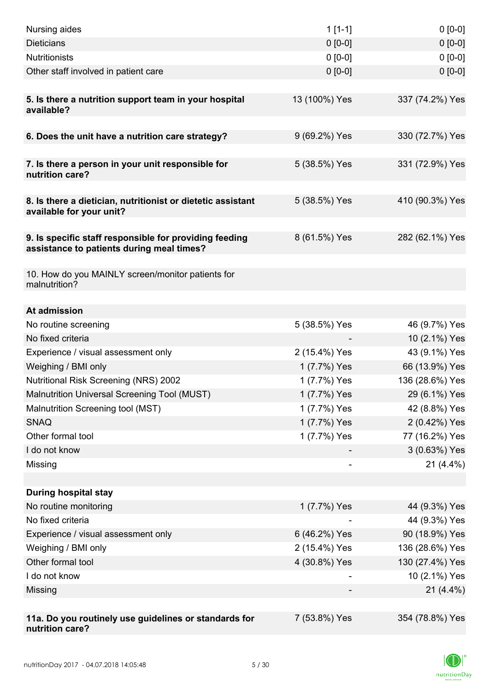| Nursing aides                                                                                       | $1[1-1]$                 | $0[0-0]$        |
|-----------------------------------------------------------------------------------------------------|--------------------------|-----------------|
| <b>Dieticians</b>                                                                                   | $0 [0-0]$                | $0[0-0]$        |
| <b>Nutritionists</b>                                                                                | $0 [0-0]$                | $0[0-0]$        |
| Other staff involved in patient care                                                                | $0 [0-0]$                | $0 [0-0]$       |
|                                                                                                     |                          |                 |
| 5. Is there a nutrition support team in your hospital<br>available?                                 | 13 (100%) Yes            | 337 (74.2%) Yes |
| 6. Does the unit have a nutrition care strategy?                                                    | 9 (69.2%) Yes            | 330 (72.7%) Yes |
|                                                                                                     |                          |                 |
| 7. Is there a person in your unit responsible for<br>nutrition care?                                | 5 (38.5%) Yes            | 331 (72.9%) Yes |
| 8. Is there a dietician, nutritionist or dietetic assistant<br>available for your unit?             | 5 (38.5%) Yes            | 410 (90.3%) Yes |
| 9. Is specific staff responsible for providing feeding<br>assistance to patients during meal times? | 8 (61.5%) Yes            | 282 (62.1%) Yes |
| 10. How do you MAINLY screen/monitor patients for<br>malnutrition?                                  |                          |                 |
| At admission                                                                                        |                          |                 |
| No routine screening                                                                                | 5 (38.5%) Yes            | 46 (9.7%) Yes   |
| No fixed criteria                                                                                   |                          | 10 (2.1%) Yes   |
| Experience / visual assessment only                                                                 | 2 (15.4%) Yes            | 43 (9.1%) Yes   |
| Weighing / BMI only                                                                                 | 1 (7.7%) Yes             | 66 (13.9%) Yes  |
| <b>Nutritional Risk Screening (NRS) 2002</b>                                                        | 1 (7.7%) Yes             | 136 (28.6%) Yes |
| Malnutrition Universal Screening Tool (MUST)                                                        | 1 (7.7%) Yes             | 29 (6.1%) Yes   |
| Malnutrition Screening tool (MST)                                                                   | 1 (7.7%) Yes             | 42 (8.8%) Yes   |
| <b>SNAQ</b>                                                                                         | 1 (7.7%) Yes             | 2 (0.42%) Yes   |
| Other formal tool                                                                                   | 1 (7.7%) Yes             | 77 (16.2%) Yes  |
| I do not know                                                                                       |                          | 3 (0.63%) Yes   |
| Missing                                                                                             | $\overline{\phantom{a}}$ | $21(4.4\%)$     |
|                                                                                                     |                          |                 |
| <b>During hospital stay</b>                                                                         |                          |                 |
| No routine monitoring                                                                               | 1 (7.7%) Yes             | 44 (9.3%) Yes   |
| No fixed criteria                                                                                   |                          | 44 (9.3%) Yes   |
| Experience / visual assessment only                                                                 | 6 (46.2%) Yes            | 90 (18.9%) Yes  |
| Weighing / BMI only                                                                                 | 2 (15.4%) Yes            | 136 (28.6%) Yes |
| Other formal tool                                                                                   | 4 (30.8%) Yes            | 130 (27.4%) Yes |
| I do not know                                                                                       |                          | 10 (2.1%) Yes   |
| Missing                                                                                             |                          | $21(4.4\%)$     |
|                                                                                                     |                          |                 |
| 11a. Do you routinely use guidelines or standards for<br>nutrition care?                            | 7 (53.8%) Yes            | 354 (78.8%) Yes |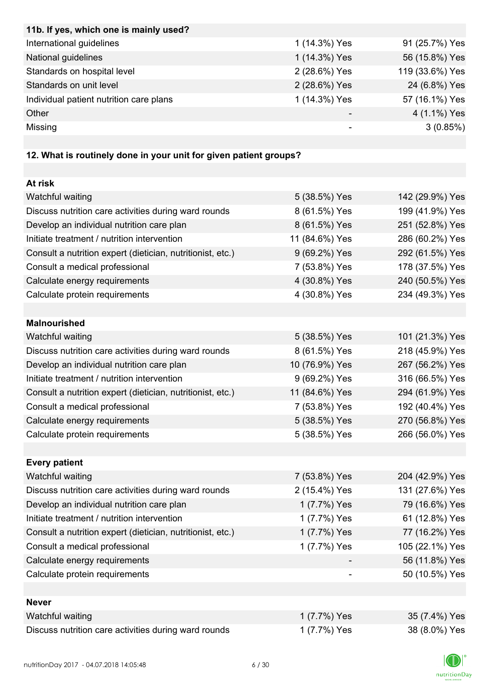| 11b. If yes, which one is mainly used?  |               |                 |
|-----------------------------------------|---------------|-----------------|
| International guidelines                | 1 (14.3%) Yes | 91 (25.7%) Yes  |
| National guidelines                     | 1 (14.3%) Yes | 56 (15.8%) Yes  |
| Standards on hospital level             | 2 (28.6%) Yes | 119 (33.6%) Yes |
| Standards on unit level                 | 2 (28.6%) Yes | 24 (6.8%) Yes   |
| Individual patient nutrition care plans | 1 (14.3%) Yes | 57 (16.1%) Yes  |
| Other                                   |               | 4 (1.1%) Yes    |
| Missing                                 |               | 3(0.85%)        |

# **12. What is routinely done in your unit for given patient groups?**

| At risk                                                    |                |                 |
|------------------------------------------------------------|----------------|-----------------|
| Watchful waiting                                           | 5 (38.5%) Yes  | 142 (29.9%) Yes |
| Discuss nutrition care activities during ward rounds       | 8 (61.5%) Yes  | 199 (41.9%) Yes |
| Develop an individual nutrition care plan                  | 8 (61.5%) Yes  | 251 (52.8%) Yes |
| Initiate treatment / nutrition intervention                | 11 (84.6%) Yes | 286 (60.2%) Yes |
| Consult a nutrition expert (dietician, nutritionist, etc.) | 9 (69.2%) Yes  | 292 (61.5%) Yes |
| Consult a medical professional                             | 7 (53.8%) Yes  | 178 (37.5%) Yes |
| Calculate energy requirements                              | 4 (30.8%) Yes  | 240 (50.5%) Yes |
| Calculate protein requirements                             | 4 (30.8%) Yes  | 234 (49.3%) Yes |
|                                                            |                |                 |
| <b>Malnourished</b>                                        |                |                 |
| Watchful waiting                                           | 5 (38.5%) Yes  | 101 (21.3%) Yes |
| Discuss nutrition care activities during ward rounds       | 8 (61.5%) Yes  | 218 (45.9%) Yes |
| Develop an individual nutrition care plan                  | 10 (76.9%) Yes | 267 (56.2%) Yes |
| Initiate treatment / nutrition intervention                | 9 (69.2%) Yes  | 316 (66.5%) Yes |
| Consult a nutrition expert (dietician, nutritionist, etc.) | 11 (84.6%) Yes | 294 (61.9%) Yes |
| Consult a medical professional                             | 7 (53.8%) Yes  | 192 (40.4%) Yes |
| Calculate energy requirements                              | 5 (38.5%) Yes  | 270 (56.8%) Yes |
| Calculate protein requirements                             | 5 (38.5%) Yes  | 266 (56.0%) Yes |
|                                                            |                |                 |
| <b>Every patient</b>                                       |                |                 |
| Watchful waiting                                           | 7 (53.8%) Yes  | 204 (42.9%) Yes |
| Discuss nutrition care activities during ward rounds       | 2 (15.4%) Yes  | 131 (27.6%) Yes |
| Develop an individual nutrition care plan                  | 1 (7.7%) Yes   | 79 (16.6%) Yes  |
| Initiate treatment / nutrition intervention                | 1 (7.7%) Yes   | 61 (12.8%) Yes  |
| Consult a nutrition expert (dietician, nutritionist, etc.) | 1 (7.7%) Yes   | 77 (16.2%) Yes  |
| Consult a medical professional                             | 1 (7.7%) Yes   | 105 (22.1%) Yes |
| Calculate energy requirements                              |                | 56 (11.8%) Yes  |
| Calculate protein requirements                             |                | 50 (10.5%) Yes  |
|                                                            |                |                 |
| <b>Never</b>                                               |                |                 |
| Watchful waiting                                           | 1 (7.7%) Yes   | 35 (7.4%) Yes   |
| Discuss nutrition care activities during ward rounds       | 1 (7.7%) Yes   | 38 (8.0%) Yes   |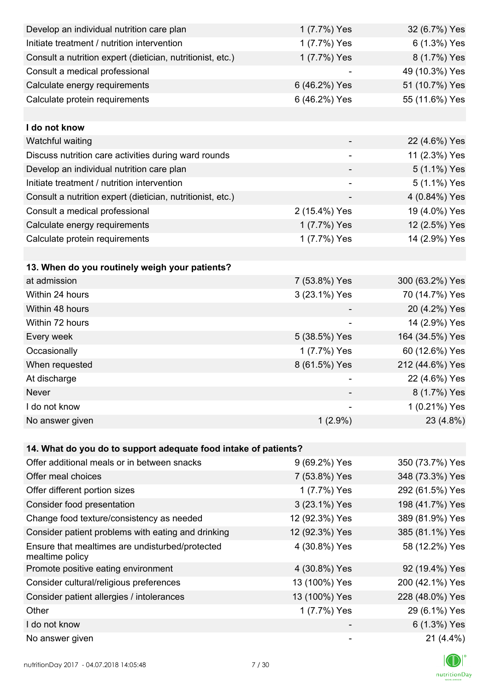| Develop an individual nutrition care plan                          | 1 (7.7%) Yes             | 32 (6.7%) Yes   |
|--------------------------------------------------------------------|--------------------------|-----------------|
| Initiate treatment / nutrition intervention                        | 1 (7.7%) Yes             | 6 (1.3%) Yes    |
| Consult a nutrition expert (dietician, nutritionist, etc.)         | 1 (7.7%) Yes             | 8 (1.7%) Yes    |
| Consult a medical professional                                     |                          | 49 (10.3%) Yes  |
| Calculate energy requirements                                      | 6 (46.2%) Yes            | 51 (10.7%) Yes  |
| Calculate protein requirements                                     | 6 (46.2%) Yes            | 55 (11.6%) Yes  |
|                                                                    |                          |                 |
| I do not know                                                      |                          |                 |
| Watchful waiting                                                   |                          | 22 (4.6%) Yes   |
| Discuss nutrition care activities during ward rounds               |                          | 11 (2.3%) Yes   |
| Develop an individual nutrition care plan                          |                          | 5 (1.1%) Yes    |
| Initiate treatment / nutrition intervention                        | $\overline{\phantom{0}}$ | 5 (1.1%) Yes    |
| Consult a nutrition expert (dietician, nutritionist, etc.)         |                          | 4 (0.84%) Yes   |
| Consult a medical professional                                     | 2 (15.4%) Yes            | 19 (4.0%) Yes   |
| Calculate energy requirements                                      | 1 (7.7%) Yes             | 12 (2.5%) Yes   |
| Calculate protein requirements                                     | 1 (7.7%) Yes             | 14 (2.9%) Yes   |
|                                                                    |                          |                 |
| 13. When do you routinely weigh your patients?                     |                          |                 |
| at admission                                                       | 7 (53.8%) Yes            | 300 (63.2%) Yes |
| Within 24 hours                                                    | 3 (23.1%) Yes            | 70 (14.7%) Yes  |
| Within 48 hours                                                    |                          | 20 (4.2%) Yes   |
| Within 72 hours                                                    |                          | 14 (2.9%) Yes   |
| Every week                                                         | 5 (38.5%) Yes            | 164 (34.5%) Yes |
| Occasionally                                                       | 1 (7.7%) Yes             | 60 (12.6%) Yes  |
| When requested                                                     | 8 (61.5%) Yes            | 212 (44.6%) Yes |
| At discharge                                                       |                          | 22 (4.6%) Yes   |
| Never                                                              |                          | 8 (1.7%) Yes    |
| I do not know                                                      |                          | 1 (0.21%) Yes   |
| No answer given                                                    | $1(2.9\%)$               | 23 (4.8%)       |
|                                                                    |                          |                 |
| 14. What do you do to support adequate food intake of patients?    |                          |                 |
| Offer additional meals or in between snacks                        | 9 (69.2%) Yes            | 350 (73.7%) Yes |
| Offer meal choices                                                 | 7 (53.8%) Yes            | 348 (73.3%) Yes |
| Offer different portion sizes                                      | 1 (7.7%) Yes             | 292 (61.5%) Yes |
| Consider food presentation                                         | 3 (23.1%) Yes            | 198 (41.7%) Yes |
| Change food texture/consistency as needed                          | 12 (92.3%) Yes           | 389 (81.9%) Yes |
| Consider patient problems with eating and drinking                 | 12 (92.3%) Yes           | 385 (81.1%) Yes |
| Ensure that mealtimes are undisturbed/protected<br>mealtime policy | 4 (30.8%) Yes            | 58 (12.2%) Yes  |
| Promote positive eating environment                                | 4 (30.8%) Yes            | 92 (19.4%) Yes  |
| Consider cultural/religious preferences                            | 13 (100%) Yes            | 200 (42.1%) Yes |
| Consider patient allergies / intolerances                          | 13 (100%) Yes            | 228 (48.0%) Yes |
| Other                                                              | 1 (7.7%) Yes             | 29 (6.1%) Yes   |
| I do not know                                                      |                          | 6 (1.3%) Yes    |
| No answer given                                                    |                          | 21 (4.4%)       |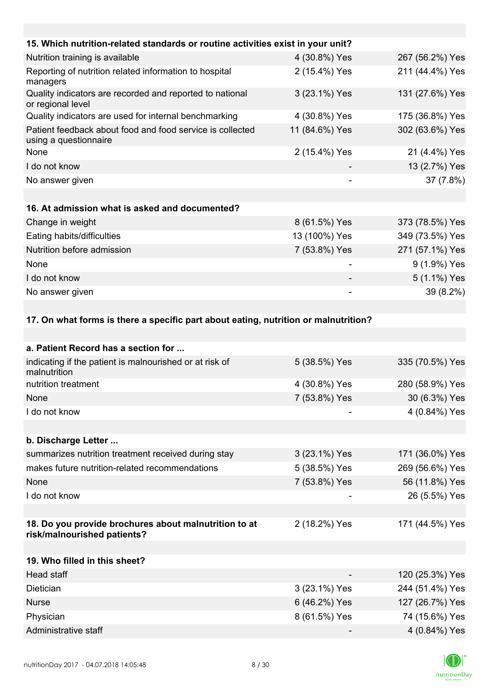| 15. Which nutrition-related standards or routine activities exist in your unit?     |                |                 |
|-------------------------------------------------------------------------------------|----------------|-----------------|
| Nutrition training is available                                                     | 4 (30.8%) Yes  | 267 (56.2%) Yes |
| Reporting of nutrition related information to hospital<br>managers                  | 2 (15.4%) Yes  | 211 (44.4%) Yes |
| Quality indicators are recorded and reported to national<br>or regional level       | 3 (23.1%) Yes  | 131 (27.6%) Yes |
| Quality indicators are used for internal benchmarking                               | 4 (30.8%) Yes  | 175 (36.8%) Yes |
| Patient feedback about food and food service is collected<br>using a questionnaire  | 11 (84.6%) Yes | 302 (63.6%) Yes |
| None                                                                                | 2 (15.4%) Yes  | 21 (4.4%) Yes   |
| I do not know                                                                       |                | 13 (2.7%) Yes   |
| No answer given                                                                     |                | 37 (7.8%)       |
|                                                                                     |                |                 |
| 16. At admission what is asked and documented?                                      |                |                 |
| Change in weight                                                                    | 8 (61.5%) Yes  | 373 (78.5%) Yes |
| Eating habits/difficulties                                                          | 13 (100%) Yes  | 349 (73.5%) Yes |
| Nutrition before admission                                                          | 7 (53.8%) Yes  | 271 (57.1%) Yes |
| None                                                                                |                | 9 (1.9%) Yes    |
| I do not know                                                                       |                | 5 (1.1%) Yes    |
| No answer given                                                                     |                | 39 (8.2%)       |
|                                                                                     |                |                 |
| 17. On what forms is there a specific part about eating, nutrition or malnutrition? |                |                 |
|                                                                                     |                |                 |
| a. Patient Record has a section for                                                 |                |                 |
| indicating if the patient is malnourished or at risk of<br>malnutrition             | 5 (38.5%) Yes  | 335 (70.5%) Yes |
| nutrition treatment                                                                 | 4 (30.8%) Yes  | 280 (58.9%) Yes |
| <b>None</b>                                                                         | 7 (53.8%) Yes  | 30 (6.3%) Yes   |
| I do not know                                                                       |                | 4 (0.84%) Yes   |
|                                                                                     |                |                 |
| b. Discharge Letter                                                                 |                |                 |

| summarizes nutrition treatment received during stay | 3 (23.1%) Yes | 171 (36.0%) Yes |
|-----------------------------------------------------|---------------|-----------------|
| makes future nutrition-related recommendations      | 5 (38.5%) Yes | 269 (56.6%) Yes |
| <b>None</b>                                         | 7 (53.8%) Yes | 56 (11.8%) Yes  |
| I do not know                                       |               | 26 (5.5%) Yes   |
|                                                     |               |                 |

#### **18. Do you provide brochures about malnutrition to at risk/malnourished patients?** 2 (18.2%) Yes 171 (44.5%) Yes

| 19. Who filled in this sheet? |               |                 |
|-------------------------------|---------------|-----------------|
| Head staff                    | -             | 120 (25.3%) Yes |
| <b>Dietician</b>              | 3 (23.1%) Yes | 244 (51.4%) Yes |
| <b>Nurse</b>                  | 6 (46.2%) Yes | 127 (26.7%) Yes |
| Physician                     | 8 (61.5%) Yes | 74 (15.6%) Yes  |
| Administrative staff          |               | 4 (0.84%) Yes   |

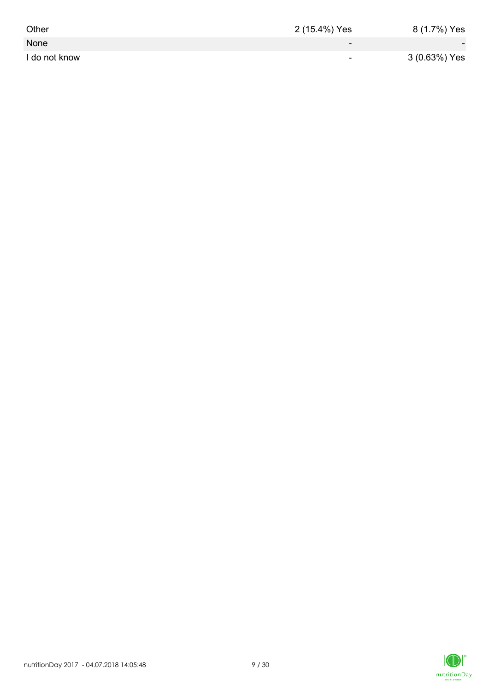| Other         | 2 (15.4%) Yes | 8 (1.7%) Yes  |
|---------------|---------------|---------------|
| None          | $-$           | $\sim$        |
| I do not know | $\sim$        | 3 (0.63%) Yes |

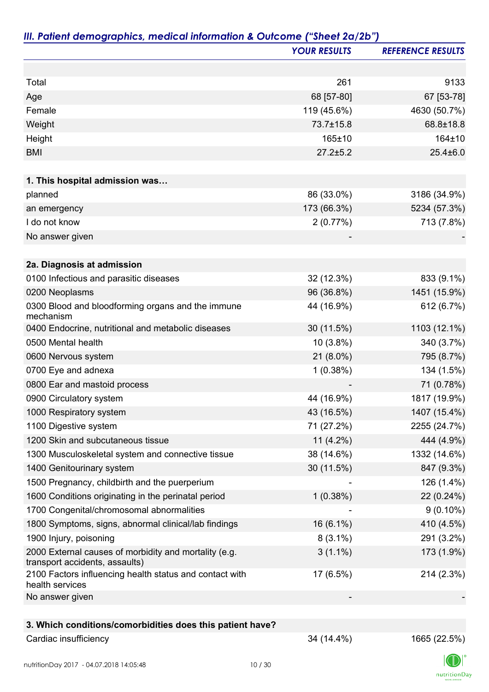|                                                                                         | <b>YOUR RESULTS</b> | <b>REFERENCE RESULTS</b> |
|-----------------------------------------------------------------------------------------|---------------------|--------------------------|
|                                                                                         |                     |                          |
| Total                                                                                   | 261                 | 9133                     |
| Age                                                                                     | 68 [57-80]          | 67 [53-78]               |
| Female                                                                                  | 119 (45.6%)         | 4630 (50.7%)             |
| Weight                                                                                  | 73.7±15.8           | 68.8±18.8                |
| Height                                                                                  | 165±10              | 164±10                   |
| <b>BMI</b>                                                                              | $27.2 \pm 5.2$      | $25.4 \pm 6.0$           |
|                                                                                         |                     |                          |
| 1. This hospital admission was                                                          |                     |                          |
| planned                                                                                 | 86 (33.0%)          | 3186 (34.9%)             |
| an emergency                                                                            | 173 (66.3%)         | 5234 (57.3%)             |
| I do not know                                                                           | 2(0.77%)            | 713 (7.8%)               |
| No answer given                                                                         |                     |                          |
| 2a. Diagnosis at admission                                                              |                     |                          |
| 0100 Infectious and parasitic diseases                                                  | 32 (12.3%)          | 833 (9.1%)               |
| 0200 Neoplasms                                                                          | 96 (36.8%)          | 1451 (15.9%)             |
| 0300 Blood and bloodforming organs and the immune<br>mechanism                          | 44 (16.9%)          | 612 (6.7%)               |
| 0400 Endocrine, nutritional and metabolic diseases                                      | 30 (11.5%)          | 1103 (12.1%)             |
| 0500 Mental health                                                                      | 10 (3.8%)           | 340 (3.7%)               |
| 0600 Nervous system                                                                     | $21(8.0\%)$         | 795 (8.7%)               |
| 0700 Eye and adnexa                                                                     | 1(0.38%)            | 134 (1.5%)               |
| 0800 Ear and mastoid process                                                            |                     | 71 (0.78%)               |
| 0900 Circulatory system                                                                 | 44 (16.9%)          | 1817 (19.9%)             |
| 1000 Respiratory system                                                                 | 43 (16.5%)          | 1407 (15.4%)             |
| 1100 Digestive system                                                                   | 71 (27.2%)          | 2255 (24.7%)             |
| 1200 Skin and subcutaneous tissue                                                       | 11 $(4.2\%)$        | 444 (4.9%)               |
| 1300 Musculoskeletal system and connective tissue                                       | 38 (14.6%)          | 1332 (14.6%)             |
| 1400 Genitourinary system                                                               | 30 (11.5%)          | 847 (9.3%)               |
| 1500 Pregnancy, childbirth and the puerperium                                           |                     | 126 (1.4%)               |
| 1600 Conditions originating in the perinatal period                                     | 1(0.38%)            | 22 (0.24%)               |
| 1700 Congenital/chromosomal abnormalities                                               |                     | $9(0.10\%)$              |
| 1800 Symptoms, signs, abnormal clinical/lab findings                                    | 16 (6.1%)           | 410 (4.5%)               |
| 1900 Injury, poisoning                                                                  | $8(3.1\%)$          | 291 (3.2%)               |
| 2000 External causes of morbidity and mortality (e.g.<br>transport accidents, assaults) | $3(1.1\%)$          | 173 (1.9%)               |
| 2100 Factors influencing health status and contact with<br>health services              | 17 (6.5%)           | 214 (2.3%)               |
| No answer given                                                                         |                     |                          |
|                                                                                         |                     |                          |
| 3. Which conditions/comorbidities does this patient have?                               |                     |                          |
| Cardiac insufficiency                                                                   | 34 (14.4%)          | 1665 (22.5%)             |

 $\label{eq:2} \mathsf{nutritionDay}$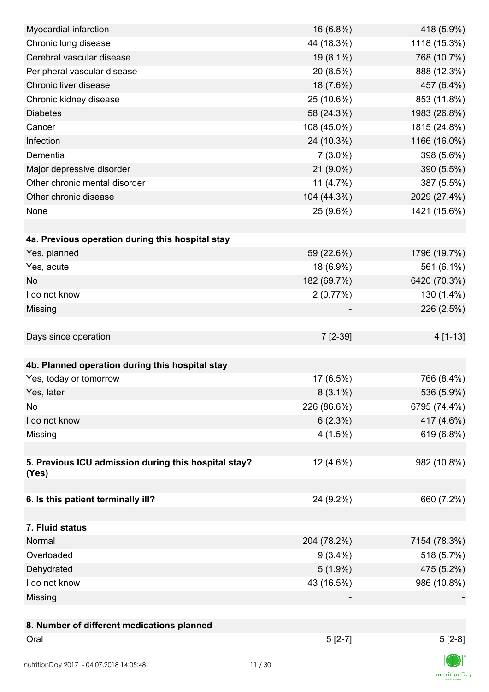| Myocardial infarction                                | 16 (6.8%)   | 418 (5.9%)   |
|------------------------------------------------------|-------------|--------------|
| Chronic lung disease                                 | 44 (18.3%)  | 1118 (15.3%) |
| Cerebral vascular disease                            | 19 (8.1%)   | 768 (10.7%)  |
| Peripheral vascular disease                          | 20 (8.5%)   | 888 (12.3%)  |
| Chronic liver disease                                | 18 (7.6%)   | 457 (6.4%)   |
| Chronic kidney disease                               | 25 (10.6%)  | 853 (11.8%)  |
| <b>Diabetes</b>                                      | 58 (24.3%)  | 1983 (26.8%) |
| Cancer                                               | 108 (45.0%) | 1815 (24.8%) |
| Infection                                            | 24 (10.3%)  | 1166 (16.0%) |
| Dementia                                             | $7(3.0\%)$  | 398 (5.6%)   |
| Major depressive disorder                            | 21 (9.0%)   | 390 (5.5%)   |
| Other chronic mental disorder                        | 11 $(4.7%)$ | 387 (5.5%)   |
| Other chronic disease                                | 104 (44.3%) | 2029 (27.4%) |
| None                                                 | 25 (9.6%)   | 1421 (15.6%) |
|                                                      |             |              |
| 4a. Previous operation during this hospital stay     |             |              |
| Yes, planned                                         | 59 (22.6%)  | 1796 (19.7%) |
| Yes, acute                                           | 18 (6.9%)   | 561 (6.1%)   |
| <b>No</b>                                            | 182 (69.7%) | 6420 (70.3%) |
| I do not know                                        | 2(0.77%)    | 130 (1.4%)   |
| Missing                                              |             | 226 (2.5%)   |
|                                                      |             |              |
| Days since operation                                 | 7 [2-39]    | 4 [1-13]     |
|                                                      |             |              |
| 4b. Planned operation during this hospital stay      |             |              |
| Yes, today or tomorrow                               | 17 (6.5%)   | 766 (8.4%)   |
| Yes, later                                           | $8(3.1\%)$  | 536 (5.9%)   |
| No                                                   | 226 (86.6%) | 6795 (74.4%) |
| I do not know                                        | 6(2.3%)     | 417 (4.6%)   |
| Missing                                              | 4(1.5%)     | 619 (6.8%)   |
|                                                      |             |              |
| 5. Previous ICU admission during this hospital stay? | 12 (4.6%)   | 982 (10.8%)  |
| (Yes)                                                |             |              |
|                                                      |             |              |
| 6. Is this patient terminally ill?                   | 24 (9.2%)   | 660 (7.2%)   |
|                                                      |             |              |
| 7. Fluid status                                      |             |              |
| Normal                                               | 204 (78.2%) | 7154 (78.3%) |
| Overloaded                                           | $9(3.4\%)$  | 518 (5.7%)   |
| Dehydrated                                           | $5(1.9\%)$  | 475 (5.2%)   |
| I do not know                                        | 43 (16.5%)  | 986 (10.8%)  |
| Missing                                              |             |              |
|                                                      |             |              |
| 8. Number of different medications planned           |             |              |
| Oral                                                 | $5[2-7]$    | $5[2-8]$     |
|                                                      |             |              |
| nutritionDay 2017 - 04.07.2018 14:05:48              | 11/30       |              |

 $\textsf{nutritionDay}$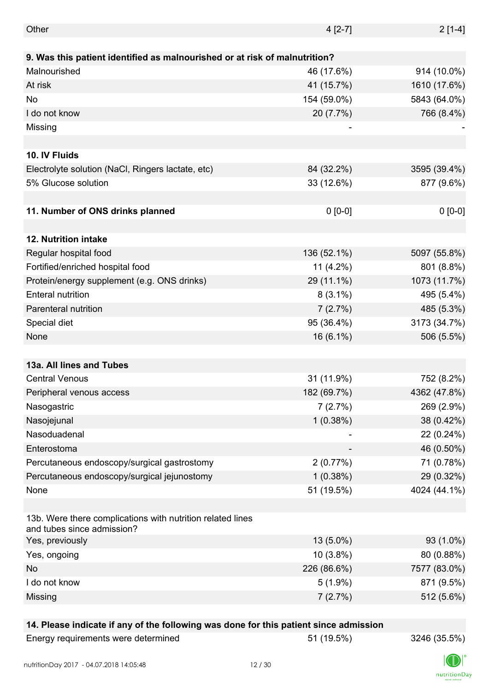| Other                                                                                    | $4[2-7]$     | $2[1-4]$     |
|------------------------------------------------------------------------------------------|--------------|--------------|
|                                                                                          |              |              |
| 9. Was this patient identified as malnourished or at risk of malnutrition?               |              |              |
| Malnourished                                                                             | 46 (17.6%)   | 914 (10.0%)  |
| At risk                                                                                  | 41 (15.7%)   | 1610 (17.6%) |
| No                                                                                       | 154 (59.0%)  | 5843 (64.0%) |
| I do not know                                                                            | 20 (7.7%)    | 766 (8.4%)   |
| Missing                                                                                  |              |              |
|                                                                                          |              |              |
| 10. IV Fluids                                                                            |              |              |
| Electrolyte solution (NaCl, Ringers lactate, etc)                                        | 84 (32.2%)   | 3595 (39.4%) |
| 5% Glucose solution                                                                      | 33 (12.6%)   | 877 (9.6%)   |
|                                                                                          |              |              |
| 11. Number of ONS drinks planned                                                         | $0 [0-0]$    | $0 [0-0]$    |
|                                                                                          |              |              |
| 12. Nutrition intake                                                                     |              |              |
| Regular hospital food                                                                    | 136 (52.1%)  | 5097 (55.8%) |
| Fortified/enriched hospital food                                                         | 11 $(4.2\%)$ | 801 (8.8%)   |
| Protein/energy supplement (e.g. ONS drinks)                                              | 29 (11.1%)   | 1073 (11.7%) |
| <b>Enteral nutrition</b>                                                                 | $8(3.1\%)$   | 495 (5.4%)   |
| Parenteral nutrition                                                                     | 7(2.7%)      | 485 (5.3%)   |
| Special diet                                                                             | 95 (36.4%)   | 3173 (34.7%) |
| None                                                                                     | 16 (6.1%)    | 506 (5.5%)   |
|                                                                                          |              |              |
| 13a. All lines and Tubes                                                                 |              |              |
| <b>Central Venous</b>                                                                    | 31 (11.9%)   | 752 (8.2%)   |
| Peripheral venous access                                                                 | 182 (69.7%)  | 4362 (47.8%) |
|                                                                                          | 7(2.7%)      |              |
| Nasogastric                                                                              |              | 269 (2.9%)   |
| Nasojejunal                                                                              | 1(0.38%)     | 38 (0.42%)   |
| Nasoduadenal                                                                             |              | 22 (0.24%)   |
| Enterostoma                                                                              |              | 46 (0.50%)   |
| Percutaneous endoscopy/surgical gastrostomy                                              | 2(0.77%)     | 71 (0.78%)   |
| Percutaneous endoscopy/surgical jejunostomy                                              | 1(0.38%)     | 29 (0.32%)   |
| None                                                                                     | 51 (19.5%)   | 4024 (44.1%) |
|                                                                                          |              |              |
| 13b. Were there complications with nutrition related lines<br>and tubes since admission? |              |              |
| Yes, previously                                                                          | $13(5.0\%)$  | 93 (1.0%)    |
| Yes, ongoing                                                                             | 10 (3.8%)    | 80 (0.88%)   |
| No                                                                                       | 226 (86.6%)  | 7577 (83.0%) |
| I do not know                                                                            | $5(1.9\%)$   | 871 (9.5%)   |
| Missing                                                                                  | 7(2.7%)      | 512 (5.6%)   |
|                                                                                          |              |              |

## **14. Please indicate if any of the following was done for this patient since admission**

Energy requirements were determined 51 (19.5%) 3246 (35.5%)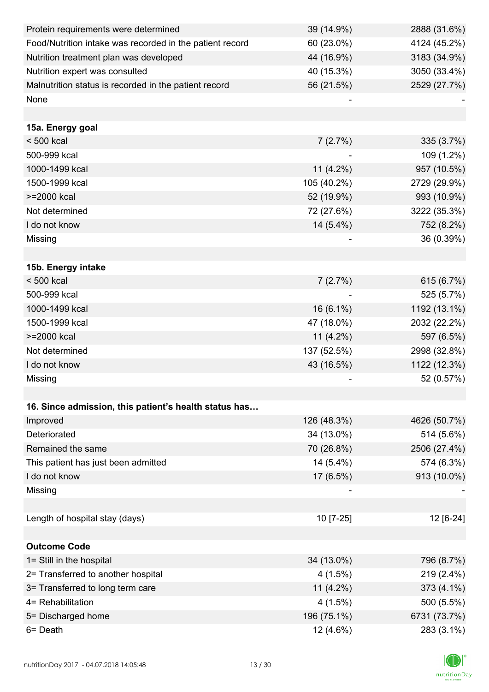| Protein requirements were determined                     | 39 (14.9%)   | 2888 (31.6%) |
|----------------------------------------------------------|--------------|--------------|
| Food/Nutrition intake was recorded in the patient record | 60 (23.0%)   | 4124 (45.2%) |
| Nutrition treatment plan was developed                   | 44 (16.9%)   | 3183 (34.9%) |
| Nutrition expert was consulted                           | 40 (15.3%)   | 3050 (33.4%) |
| Malnutrition status is recorded in the patient record    | 56 (21.5%)   | 2529 (27.7%) |
| None                                                     |              |              |
|                                                          |              |              |
| 15a. Energy goal                                         |              |              |
| $< 500$ kcal                                             | 7(2.7%)      | 335 (3.7%)   |
| 500-999 kcal                                             |              | 109 (1.2%)   |
| 1000-1499 kcal                                           | $11(4.2\%)$  | 957 (10.5%)  |
| 1500-1999 kcal                                           | 105 (40.2%)  | 2729 (29.9%) |
| >=2000 kcal                                              | 52 (19.9%)   | 993 (10.9%)  |
| Not determined                                           | 72 (27.6%)   | 3222 (35.3%) |
| I do not know                                            | 14 (5.4%)    | 752 (8.2%)   |
| Missing                                                  |              | 36 (0.39%)   |
|                                                          |              |              |
| 15b. Energy intake                                       |              |              |
| $< 500$ kcal                                             | 7(2.7%)      | 615 (6.7%)   |
| 500-999 kcal                                             |              | 525 (5.7%)   |
| 1000-1499 kcal                                           | $16(6.1\%)$  | 1192 (13.1%) |
| 1500-1999 kcal                                           | 47 (18.0%)   | 2032 (22.2%) |
| >=2000 kcal                                              | 11 $(4.2\%)$ | 597 (6.5%)   |
| Not determined                                           | 137 (52.5%)  | 2998 (32.8%) |
| I do not know                                            | 43 (16.5%)   | 1122 (12.3%) |
| Missing                                                  |              | 52 (0.57%)   |
|                                                          |              |              |
| 16. Since admission, this patient's health status has    |              |              |
| Improved                                                 | 126 (48.3%)  | 4626 (50.7%) |
| Deteriorated                                             | 34 (13.0%)   | 514 (5.6%)   |
| Remained the same                                        | 70 (26.8%)   | 2506 (27.4%) |
| This patient has just been admitted                      | 14 (5.4%)    | 574 (6.3%)   |
| I do not know                                            | 17 (6.5%)    | 913 (10.0%)  |
| Missing                                                  |              |              |
|                                                          |              |              |
| Length of hospital stay (days)                           | 10 [7-25]    | 12 [6-24]    |
|                                                          |              |              |
| <b>Outcome Code</b>                                      |              |              |
| 1= Still in the hospital                                 | 34 (13.0%)   | 796 (8.7%)   |
| 2= Transferred to another hospital                       | 4(1.5%)      | 219 (2.4%)   |
| 3= Transferred to long term care                         | 11 (4.2%)    | 373 (4.1%)   |
| 4= Rehabilitation                                        | $4(1.5\%)$   | 500 (5.5%)   |
| 5= Discharged home                                       | 196 (75.1%)  | 6731 (73.7%) |
| 6= Death                                                 | 12 (4.6%)    | 283 (3.1%)   |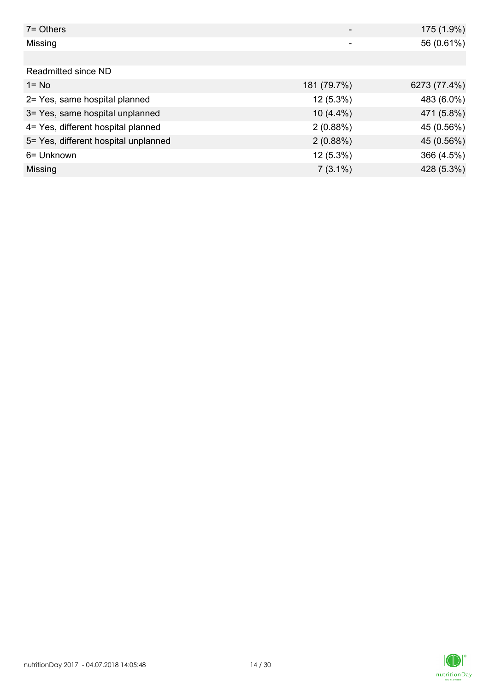| $7 =$ Others                         |             | 175 (1.9%)   |
|--------------------------------------|-------------|--------------|
| Missing                              | -           | 56 (0.61%)   |
|                                      |             |              |
| Readmitted since ND                  |             |              |
| $1 = No$                             | 181 (79.7%) | 6273 (77.4%) |
| 2= Yes, same hospital planned        | $12(5.3\%)$ | 483 (6.0%)   |
| 3= Yes, same hospital unplanned      | $10(4.4\%)$ | 471 (5.8%)   |
| 4= Yes, different hospital planned   | 2(0.88%)    | 45 (0.56%)   |
| 5= Yes, different hospital unplanned | 2(0.88%)    | 45 (0.56%)   |
| 6= Unknown                           | $12(5.3\%)$ | 366 (4.5%)   |
| Missing                              | $7(3.1\%)$  | 428 (5.3%)   |

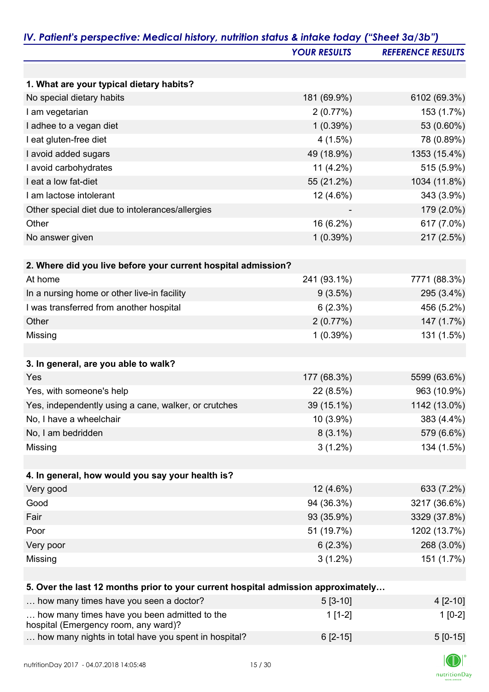|                                                                                      | <b>YOUR RESULTS</b> | <b>REFERENCE RESULTS</b> |
|--------------------------------------------------------------------------------------|---------------------|--------------------------|
|                                                                                      |                     |                          |
| 1. What are your typical dietary habits?                                             |                     |                          |
| No special dietary habits                                                            | 181 (69.9%)         | 6102 (69.3%)             |
| I am vegetarian                                                                      | 2(0.77%)            | 153 (1.7%)               |
| I adhee to a vegan diet                                                              | 1(0.39%)            | 53 (0.60%)               |
| I eat gluten-free diet                                                               | 4(1.5%)             | 78 (0.89%)               |
| I avoid added sugars                                                                 | 49 (18.9%)          | 1353 (15.4%)             |
| I avoid carbohydrates                                                                | 11 $(4.2\%)$        | 515 (5.9%)               |
| I eat a low fat-diet                                                                 | 55 (21.2%)          | 1034 (11.8%)             |
| I am lactose intolerant                                                              | 12 (4.6%)           | 343 (3.9%)               |
| Other special diet due to intolerances/allergies                                     |                     | 179 (2.0%)               |
| Other                                                                                | 16 (6.2%)           | 617 (7.0%)               |
| No answer given                                                                      | 1(0.39%)            | 217 (2.5%)               |
|                                                                                      |                     |                          |
| 2. Where did you live before your current hospital admission?                        |                     |                          |
| At home                                                                              | 241 (93.1%)         | 7771 (88.3%)             |
| In a nursing home or other live-in facility                                          | $9(3.5\%)$          | 295 (3.4%)               |
| I was transferred from another hospital                                              | 6(2.3%)             | 456 (5.2%)               |
| Other                                                                                | 2(0.77%)            | 147 (1.7%)               |
| Missing                                                                              | 1(0.39%)            | 131 (1.5%)               |
|                                                                                      |                     |                          |
| 3. In general, are you able to walk?                                                 |                     |                          |
| Yes                                                                                  | 177 (68.3%)         | 5599 (63.6%)             |
| Yes, with someone's help                                                             | 22 (8.5%)           | 963 (10.9%)              |
| Yes, independently using a cane, walker, or crutches                                 | 39 (15.1%)          | 1142 (13.0%)             |
| No, I have a wheelchair                                                              | 10 (3.9%)           | 383 (4.4%)               |
| No, I am bedridden                                                                   | $8(3.1\%)$          | 579 (6.6%)               |
| Missing                                                                              | $3(1.2\%)$          | 134 (1.5%)               |
|                                                                                      |                     |                          |
| 4. In general, how would you say your health is?                                     |                     |                          |
| Very good                                                                            | 12 (4.6%)           | 633 (7.2%)               |
| Good                                                                                 | 94 (36.3%)          | 3217 (36.6%)             |
| Fair                                                                                 | 93 (35.9%)          | 3329 (37.8%)             |
| Poor                                                                                 | 51 (19.7%)          | 1202 (13.7%)             |
| Very poor                                                                            | 6(2.3%)             | 268 (3.0%)               |
| Missing                                                                              | $3(1.2\%)$          | 151 (1.7%)               |
|                                                                                      |                     |                          |
| 5. Over the last 12 months prior to your current hospital admission approximately    |                     |                          |
| how many times have you seen a doctor?                                               | $5[3-10]$           | 4 [2-10]                 |
| how many times have you been admitted to the<br>hospital (Emergency room, any ward)? | $1[1-2]$            | $1[0-2]$                 |
| how many nights in total have you spent in hospital?                                 | $6[2-15]$           | $5[0-15]$                |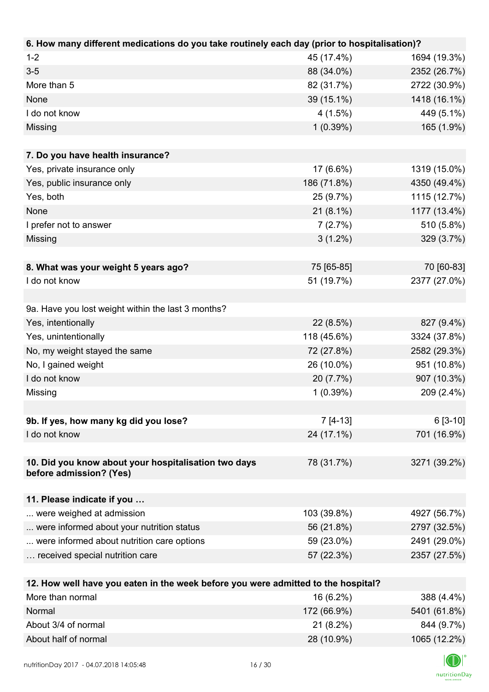| $1 - 2$<br>45 (17.4%)<br>1694 (19.3%)<br>$3-5$<br>88 (34.0%)<br>2352 (26.7%)<br>More than 5<br>82 (31.7%)<br>2722 (30.9%)                 |  |
|-------------------------------------------------------------------------------------------------------------------------------------------|--|
|                                                                                                                                           |  |
|                                                                                                                                           |  |
|                                                                                                                                           |  |
| 1418 (16.1%)<br>None<br>39 (15.1%)                                                                                                        |  |
| I do not know<br>4(1.5%)<br>449 (5.1%)                                                                                                    |  |
| 1(0.39%)<br>165 (1.9%)<br>Missing                                                                                                         |  |
|                                                                                                                                           |  |
| 7. Do you have health insurance?                                                                                                          |  |
| Yes, private insurance only<br>17 (6.6%)<br>1319 (15.0%)                                                                                  |  |
| 4350 (49.4%)<br>Yes, public insurance only<br>186 (71.8%)                                                                                 |  |
| Yes, both<br>1115 (12.7%)<br>25 (9.7%)                                                                                                    |  |
| <b>None</b><br>1177 (13.4%)<br>$21(8.1\%)$                                                                                                |  |
| 510 (5.8%)<br>I prefer not to answer<br>7(2.7%)                                                                                           |  |
| $3(1.2\%)$<br>329 (3.7%)<br>Missing                                                                                                       |  |
|                                                                                                                                           |  |
| 75 [65-85]<br>70 [60-83]<br>8. What was your weight 5 years ago?                                                                          |  |
| 2377 (27.0%)<br>I do not know<br>51 (19.7%)                                                                                               |  |
|                                                                                                                                           |  |
| 9a. Have you lost weight within the last 3 months?                                                                                        |  |
| Yes, intentionally<br>22 (8.5%)<br>827 (9.4%)                                                                                             |  |
| 118 (45.6%)<br>Yes, unintentionally<br>3324 (37.8%)                                                                                       |  |
| No, my weight stayed the same<br>72 (27.8%)<br>2582 (29.3%)                                                                               |  |
| No, I gained weight<br>26 (10.0%)<br>951 (10.8%)                                                                                          |  |
| I do not know<br>907 (10.3%)<br>20 (7.7%)                                                                                                 |  |
| 1(0.39%)<br>209 (2.4%)<br>Missing                                                                                                         |  |
|                                                                                                                                           |  |
| 9b. If yes, how many kg did you lose?<br>$7 [4-13]$<br>$6[3-10]$                                                                          |  |
| I do not know<br>24 (17.1%)<br>701 (16.9%)                                                                                                |  |
|                                                                                                                                           |  |
| 10. Did you know about your hospitalisation two days<br>78 (31.7%)<br>3271 (39.2%)                                                        |  |
| before admission? (Yes)                                                                                                                   |  |
| 11. Please indicate if you                                                                                                                |  |
| 103 (39.8%)<br>4927 (56.7%)<br>were weighed at admission                                                                                  |  |
| 56 (21.8%)<br>2797 (32.5%)                                                                                                                |  |
| were informed about your nutrition status                                                                                                 |  |
| were informed about nutrition care options<br>59 (23.0%)<br>2491 (29.0%)<br>received special nutrition care<br>57 (22.3%)<br>2357 (27.5%) |  |
|                                                                                                                                           |  |
| 12. How well have you eaten in the week before you were admitted to the hospital?                                                         |  |
| More than normal<br>16 (6.2%)<br>388 (4.4%)                                                                                               |  |
| Normal<br>172 (66.9%)<br>5401 (61.8%)                                                                                                     |  |
| About 3/4 of normal<br>21 (8.2%)<br>844 (9.7%)                                                                                            |  |

About half of normal 28 (10.9%) 1065 (12.2%)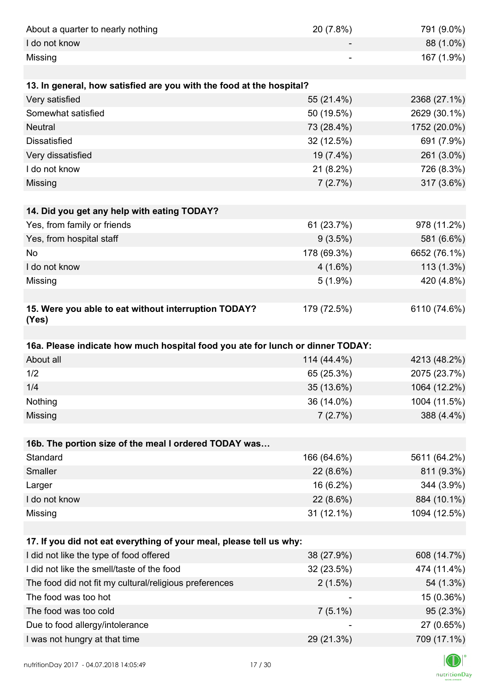| About a quarter to nearly nothing                                              | 20 (7.8%)   | 791 (9.0%)                |
|--------------------------------------------------------------------------------|-------------|---------------------------|
| I do not know                                                                  |             | 88 (1.0%)                 |
| Missing                                                                        |             | 167 (1.9%)                |
|                                                                                |             |                           |
| 13. In general, how satisfied are you with the food at the hospital?           |             |                           |
| Very satisfied                                                                 | 55 (21.4%)  | 2368 (27.1%)              |
| Somewhat satisfied                                                             | 50 (19.5%)  | 2629 (30.1%)              |
| <b>Neutral</b>                                                                 | 73 (28.4%)  | 1752 (20.0%)              |
| <b>Dissatisfied</b>                                                            | 32 (12.5%)  | 691 (7.9%)                |
| Very dissatisfied                                                              | 19 (7.4%)   | 261 (3.0%)                |
| I do not know                                                                  | $21(8.2\%)$ | 726 (8.3%)                |
| Missing                                                                        | 7(2.7%)     | 317 (3.6%)                |
|                                                                                |             |                           |
| 14. Did you get any help with eating TODAY?                                    |             |                           |
| Yes, from family or friends                                                    | 61 (23.7%)  | 978 (11.2%)               |
| Yes, from hospital staff                                                       | $9(3.5\%)$  | 581 (6.6%)                |
| <b>No</b>                                                                      | 178 (69.3%) | 6652 (76.1%)              |
| I do not know                                                                  | $4(1.6\%)$  | $113(1.3\%)$              |
| Missing                                                                        | $5(1.9\%)$  | 420 (4.8%)                |
|                                                                                |             |                           |
| 15. Were you able to eat without interruption TODAY?<br>(Yes)                  | 179 (72.5%) | 6110 (74.6%)              |
|                                                                                |             |                           |
|                                                                                |             |                           |
| 16a. Please indicate how much hospital food you ate for lunch or dinner TODAY: |             |                           |
| About all                                                                      | 114 (44.4%) | 4213 (48.2%)              |
| 1/2                                                                            | 65 (25.3%)  | 2075 (23.7%)              |
| 1/4                                                                            | 35 (13.6%)  | 1064 (12.2%)              |
| Nothing                                                                        | 36 (14.0%)  | 1004 (11.5%)              |
| Missing                                                                        | 7(2.7%)     | 388 (4.4%)                |
|                                                                                |             |                           |
| 16b. The portion size of the meal I ordered TODAY was                          |             |                           |
| Standard                                                                       | 166 (64.6%) | 5611 (64.2%)              |
| Smaller                                                                        | 22 (8.6%)   | 811 (9.3%)                |
| Larger                                                                         | 16 (6.2%)   | 344 (3.9%)                |
| I do not know                                                                  | 22 (8.6%)   | 884 (10.1%)               |
| Missing                                                                        | 31 (12.1%)  | 1094 (12.5%)              |
|                                                                                |             |                           |
| 17. If you did not eat everything of your meal, please tell us why:            |             |                           |
| I did not like the type of food offered                                        | 38 (27.9%)  | 608 (14.7%)               |
| I did not like the smell/taste of the food                                     | 32 (23.5%)  | 474 (11.4%)               |
| The food did not fit my cultural/religious preferences                         | 2(1.5%)     | 54 (1.3%)                 |
| The food was too hot                                                           |             | 15 (0.36%)                |
| The food was too cold                                                          | $7(5.1\%)$  | 95 (2.3%)                 |
| Due to food allergy/intolerance<br>I was not hungry at that time               | 29 (21.3%)  | 27 (0.65%)<br>709 (17.1%) |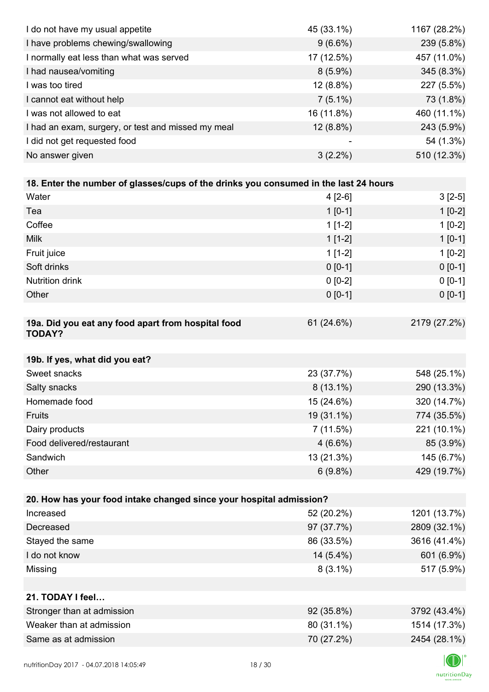| I do not have my usual appetite                                                      | 45 (33.1%)  | 1167 (28.2%) |
|--------------------------------------------------------------------------------------|-------------|--------------|
| I have problems chewing/swallowing                                                   | $9(6.6\%)$  | 239 (5.8%)   |
| I normally eat less than what was served                                             | 17 (12.5%)  | 457 (11.0%)  |
| I had nausea/vomiting                                                                | $8(5.9\%)$  | 345 (8.3%)   |
| I was too tired                                                                      | $12(8.8\%)$ | 227 (5.5%)   |
| I cannot eat without help                                                            | $7(5.1\%)$  | 73 (1.8%)    |
| I was not allowed to eat                                                             | 16 (11.8%)  | 460 (11.1%)  |
| I had an exam, surgery, or test and missed my meal                                   | 12 (8.8%)   | 243 (5.9%)   |
| I did not get requested food                                                         |             | 54 (1.3%)    |
| No answer given                                                                      | $3(2.2\%)$  | 510 (12.3%)  |
|                                                                                      |             |              |
| 18. Enter the number of glasses/cups of the drinks you consumed in the last 24 hours |             |              |
| Water                                                                                | $4[2-6]$    | $3[2-5]$     |
| Tea                                                                                  | $1[0-1]$    | $1[0-2]$     |
| Coffee                                                                               | $1[1-2]$    | $1[0-2]$     |
| <b>Milk</b>                                                                          | $1[1-2]$    | $1[0-1]$     |
| Fruit juice                                                                          | $1[1-2]$    | $1[0-2]$     |
| Soft drinks                                                                          | $0 [0-1]$   | $0 [0-1]$    |
| Nutrition drink                                                                      | $0 [0-2]$   | $0 [0-1]$    |
| Other                                                                                | $0 [0-1]$   | $0 [0-1]$    |
|                                                                                      |             |              |
| 19a. Did you eat any food apart from hospital food<br><b>TODAY?</b>                  | 61 (24.6%)  | 2179 (27.2%) |
| 19b. If yes, what did you eat?                                                       |             |              |
| Sweet snacks                                                                         | 23 (37.7%)  | 548 (25.1%)  |
| Salty snacks                                                                         | $8(13.1\%)$ | 290 (13.3%)  |
| Homemade food                                                                        | 15 (24.6%)  | 320 (14.7%)  |
| Fruits                                                                               | 19 (31.1%)  | 774 (35.5%)  |
| Dairy products                                                                       | 7(11.5%)    | 221 (10.1%)  |
| Food delivered/restaurant                                                            | $4(6.6\%)$  | 85 (3.9%)    |
| Sandwich                                                                             | 13 (21.3%)  | 145 (6.7%)   |
| Other                                                                                | $6(9.8\%)$  | 429 (19.7%)  |
|                                                                                      |             |              |
| 20. How has your food intake changed since your hospital admission?                  |             |              |
| Increased                                                                            | 52 (20.2%)  | 1201 (13.7%) |
| Decreased                                                                            | 97 (37.7%)  | 2809 (32.1%) |
| Stayed the same                                                                      | 86 (33.5%)  | 3616 (41.4%) |
| I do not know                                                                        | 14 (5.4%)   | 601 (6.9%)   |
| Missing                                                                              | $8(3.1\%)$  | 517 (5.9%)   |
|                                                                                      |             |              |
| 21. TODAY I feel                                                                     |             |              |
| Stronger than at admission                                                           | 92 (35.8%)  | 3792 (43.4%) |
| Weaker than at admission                                                             | 80 (31.1%)  | 1514 (17.3%) |
| Same as at admission                                                                 | 70 (27.2%)  | 2454 (28.1%) |
|                                                                                      |             |              |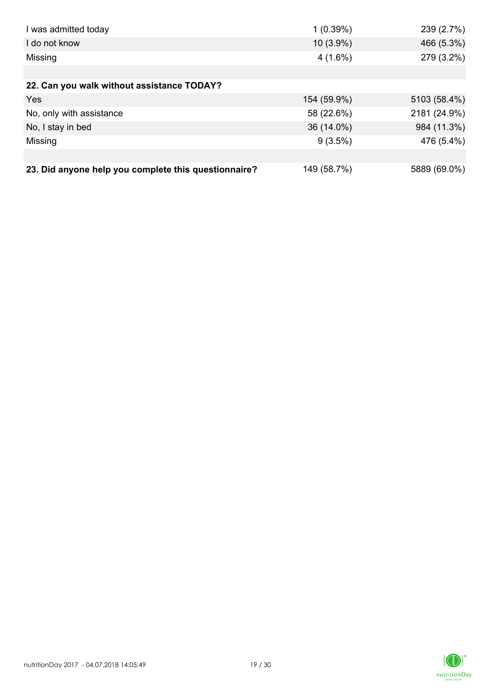| I was admitted today                                 | 1(0.39%)    | 239 (2.7%)   |
|------------------------------------------------------|-------------|--------------|
| I do not know                                        | 10 (3.9%)   | 466 (5.3%)   |
| Missing                                              | $4(1.6\%)$  | 279 (3.2%)   |
|                                                      |             |              |
| 22. Can you walk without assistance TODAY?           |             |              |
| Yes                                                  | 154 (59.9%) | 5103 (58.4%) |
| No, only with assistance                             | 58 (22.6%)  | 2181 (24.9%) |
| No, I stay in bed                                    | 36 (14.0%)  | 984 (11.3%)  |
| Missing                                              | $9(3.5\%)$  | 476 (5.4%)   |
|                                                      |             |              |
| 23. Did anyone help you complete this questionnaire? | 149 (58.7%) | 5889 (69.0%) |

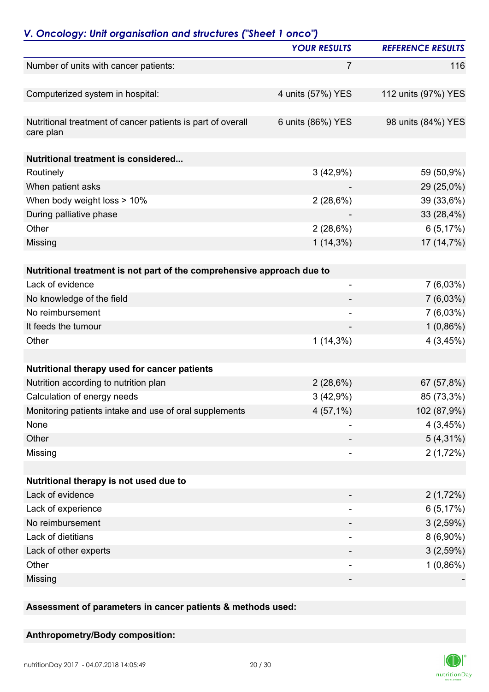|                                                                          | <b>YOUR RESULTS</b>      | <b>REFERENCE RESULTS</b> |
|--------------------------------------------------------------------------|--------------------------|--------------------------|
| Number of units with cancer patients:                                    | 7                        | 116                      |
| Computerized system in hospital:                                         | 4 units (57%) YES        | 112 units (97%) YES      |
| Nutritional treatment of cancer patients is part of overall<br>care plan | 6 units (86%) YES        | 98 units (84%) YES       |
| Nutritional treatment is considered                                      |                          |                          |
| Routinely                                                                | 3(42,9%)                 | 59 (50,9%)               |
| When patient asks                                                        |                          | 29 (25,0%)               |
| When body weight loss > 10%                                              | 2(28,6%)                 | 39 (33,6%)               |
| During palliative phase                                                  |                          | 33 (28,4%)               |
| Other                                                                    | 2(28,6%)                 | 6(5,17%)                 |
| Missing                                                                  | $1(14,3\%)$              | 17 (14,7%)               |
| Nutritional treatment is not part of the comprehensive approach due to   |                          |                          |
| Lack of evidence                                                         |                          | $7(6,03\%)$              |
| No knowledge of the field                                                |                          | $7(6,03\%)$              |
| No reimbursement                                                         | $\overline{\phantom{a}}$ | $7(6,03\%)$              |
| It feeds the tumour                                                      |                          | $1(0,86\%)$              |
| Other                                                                    | $1(14,3\%)$              | 4(3,45%)                 |
| Nutritional therapy used for cancer patients                             |                          |                          |
| Nutrition according to nutrition plan                                    | 2(28,6%)                 | 67 (57,8%)               |
| Calculation of energy needs                                              | 3(42,9%)                 | 85 (73,3%)               |
| Monitoring patients intake and use of oral supplements                   | $4(57,1\%)$              | 102 (87,9%)              |
| None                                                                     |                          | 4(3,45%)                 |
| Other                                                                    |                          | $5(4,31\%)$              |
| Missing                                                                  |                          | 2(1,72%)                 |
| Nutritional therapy is not used due to                                   |                          |                          |
| Lack of evidence                                                         |                          | 2(1,72%)                 |
| Lack of experience                                                       | -                        | 6(5,17%)                 |
| No reimbursement                                                         |                          | 3(2,59%)                 |
| Lack of dietitians                                                       |                          | $8(6,90\%)$              |
| Lack of other experts                                                    |                          | 3(2,59%)                 |
| Other                                                                    |                          | $1(0,86\%)$              |
| Missing                                                                  |                          |                          |
|                                                                          |                          |                          |

**Assessment of parameters in cancer patients & methods used:**

### **Anthropometry/Body composition:**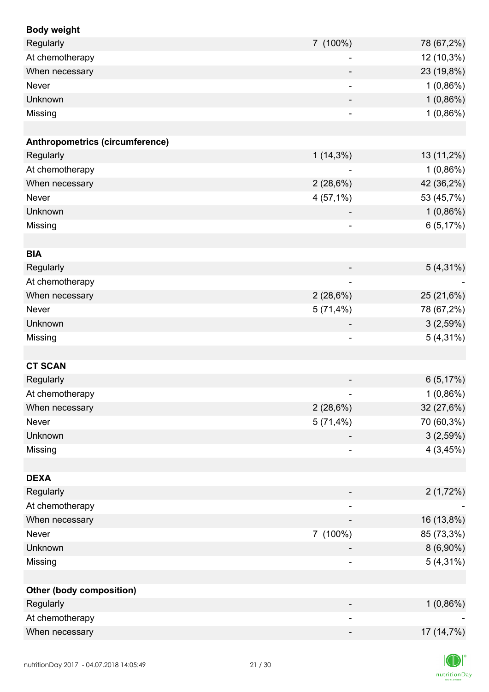| <b>Body weight</b>              |                              |             |
|---------------------------------|------------------------------|-------------|
| Regularly                       | 7 (100%)                     | 78 (67,2%)  |
| At chemotherapy                 | $\overline{\phantom{a}}$     | 12 (10,3%)  |
| When necessary                  |                              | 23 (19,8%)  |
| Never                           | $\overline{\phantom{a}}$     | 1(0,86%)    |
| Unknown                         |                              | 1(0,86%)    |
| Missing                         |                              | 1(0,86%)    |
|                                 |                              |             |
| Anthropometrics (circumference) |                              |             |
| Regularly                       | $1(14,3\%)$                  | 13 (11,2%)  |
| At chemotherapy                 |                              | $1(0,86\%)$ |
| When necessary                  | 2(28,6%)                     | 42 (36,2%)  |
| Never                           | $4(57,1\%)$                  | 53 (45,7%)  |
| Unknown                         |                              | 1(0,86%)    |
| Missing                         | $\overline{\phantom{a}}$     | 6(5,17%)    |
|                                 |                              |             |
| <b>BIA</b>                      |                              |             |
| Regularly                       |                              | $5(4,31\%)$ |
| At chemotherapy                 | $\overline{\phantom{a}}$     |             |
| When necessary                  | 2(28,6%)                     | 25 (21,6%)  |
| Never                           | 5(71,4%)                     | 78 (67,2%)  |
| Unknown                         | $\overline{\phantom{a}}$     | 3(2,59%)    |
| Missing                         | $\qquad \qquad \blacksquare$ | $5(4,31\%)$ |
|                                 |                              |             |
| <b>CT SCAN</b>                  |                              |             |
| Regularly                       |                              | 6(5,17%)    |
| At chemotherapy                 |                              | 1(0,86%)    |
| When necessary                  | 2(28,6%)                     | 32 (27,6%)  |
| Never                           | $5(71,4\%)$                  | 70 (60,3%)  |
| Unknown                         |                              | 3(2,59%)    |
| Missing                         |                              | 4(3,45%)    |
|                                 |                              |             |
| <b>DEXA</b>                     |                              |             |
| Regularly                       |                              | 2(1,72%)    |
| At chemotherapy                 | $\overline{\phantom{a}}$     |             |
| When necessary                  |                              | 16 (13,8%)  |
| Never                           | 7 (100%)                     | 85 (73,3%)  |
| Unknown                         |                              | $8(6,90\%)$ |
| Missing                         |                              | $5(4,31\%)$ |
|                                 |                              |             |
| <b>Other (body composition)</b> |                              |             |
| Regularly                       |                              | 1(0,86%)    |
| At chemotherapy                 |                              |             |
| When necessary                  |                              | 17 (14,7%)  |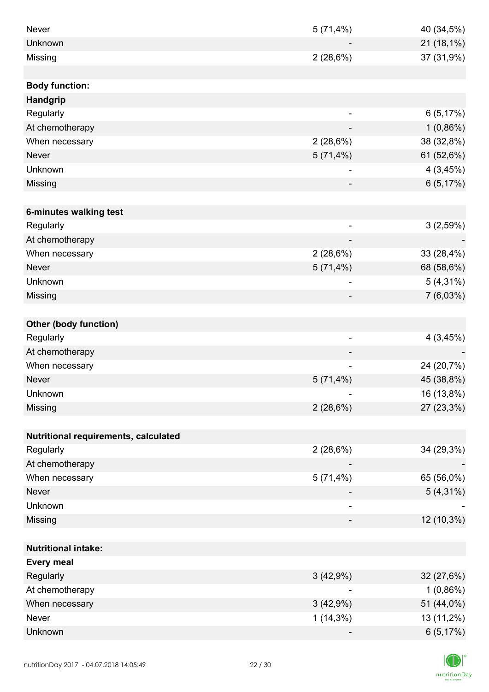| Never                                | 5(71,4%)                     | 40 (34,5%)  |
|--------------------------------------|------------------------------|-------------|
| Unknown                              |                              | 21 (18,1%)  |
| Missing                              | 2(28,6%)                     | 37 (31,9%)  |
|                                      |                              |             |
| <b>Body function:</b>                |                              |             |
| Handgrip                             |                              |             |
| Regularly                            | $\overline{a}$               | 6(5,17%)    |
| At chemotherapy                      |                              | $1(0,86\%)$ |
| When necessary                       | 2(28,6%)                     | 38 (32,8%)  |
| <b>Never</b>                         | $5(71,4\%)$                  | 61 (52,6%)  |
| Unknown                              | -                            | 4(3,45%)    |
| Missing                              |                              | 6(5,17%)    |
|                                      |                              |             |
| 6-minutes walking test               |                              |             |
| Regularly                            | $\overline{\phantom{a}}$     | 3(2,59%)    |
| At chemotherapy                      | $\overline{\phantom{a}}$     |             |
| When necessary                       | 2(28,6%)                     | 33 (28,4%)  |
| <b>Never</b>                         | $5(71,4\%)$                  | 68 (58,6%)  |
| Unknown                              |                              | $5(4,31\%)$ |
| Missing                              |                              | $7(6,03\%)$ |
|                                      |                              |             |
| <b>Other (body function)</b>         |                              |             |
| Regularly                            | $\overline{\phantom{a}}$     | 4(3,45%)    |
| At chemotherapy                      |                              |             |
| When necessary                       | $\qquad \qquad \blacksquare$ | 24 (20,7%)  |
| <b>Never</b>                         | 5(71,4%)                     | 45 (38,8%)  |
| Unknown                              |                              | 16 (13,8%)  |
| Missing                              | 2(28,6%)                     | 27 (23,3%)  |
|                                      |                              |             |
| Nutritional requirements, calculated |                              |             |
| Regularly                            | 2(28,6%)                     | 34 (29,3%)  |
| At chemotherapy                      |                              |             |
| When necessary                       | 5(71,4%)                     | 65 (56,0%)  |
| <b>Never</b>                         |                              | $5(4,31\%)$ |
| Unknown                              | -                            |             |
| Missing                              |                              | 12 (10,3%)  |
|                                      |                              |             |
| <b>Nutritional intake:</b>           |                              |             |
| <b>Every meal</b>                    |                              |             |
| Regularly                            | 3(42,9%)                     | 32 (27,6%)  |
| At chemotherapy                      |                              | 1(0,86%)    |
| When necessary                       | 3(42,9%)                     | 51 (44,0%)  |
| Never                                | $1(14,3\%)$                  | 13 (11,2%)  |
| Unknown                              |                              | 6(5,17%)    |

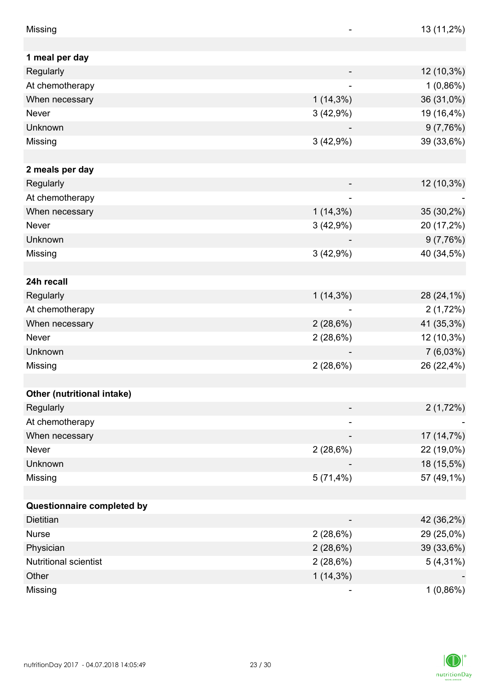| Missing                     |             | 13 (11,2%)  |
|-----------------------------|-------------|-------------|
|                             |             |             |
| 1 meal per day<br>Regularly |             |             |
|                             |             | 12 (10,3%)  |
| At chemotherapy             |             | $1(0,86\%)$ |
| When necessary              | $1(14,3\%)$ | 36 (31,0%)  |
| Never                       | 3(42,9%)    | 19 (16,4%)  |
| Unknown                     |             | 9(7,76%)    |
| Missing                     | 3(42,9%)    | 39 (33,6%)  |
|                             |             |             |
| 2 meals per day             |             |             |
| Regularly                   |             | 12 (10,3%)  |
| At chemotherapy             |             |             |
| When necessary              | $1(14,3\%)$ | 35 (30,2%)  |
| Never                       | 3(42,9%)    | 20 (17,2%)  |
| Unknown                     |             | 9(7,76%)    |
| Missing                     | 3(42,9%)    | 40 (34,5%)  |
|                             |             |             |
| 24h recall                  |             |             |
| Regularly                   | $1(14,3\%)$ | 28 (24,1%)  |
| At chemotherapy             |             | 2(1,72%)    |
| When necessary              | 2(28,6%)    | 41 (35,3%)  |
| <b>Never</b>                | 2(28,6%)    | 12 (10,3%)  |
| Unknown                     |             | $7(6,03\%)$ |
| Missing                     | 2(28,6%)    | 26 (22,4%)  |
|                             |             |             |
| Other (nutritional intake)  |             |             |
| Regularly                   |             | 2(1,72%)    |
| At chemotherapy             | -           |             |
| When necessary              |             | 17 (14,7%)  |
| <b>Never</b>                | 2(28,6%)    | 22 (19,0%)  |
| Unknown                     |             | 18 (15,5%)  |
| Missing                     | 5(71,4%)    | 57 (49,1%)  |
|                             |             |             |
| Questionnaire completed by  |             |             |
| <b>Dietitian</b>            |             | 42 (36,2%)  |
| <b>Nurse</b>                | 2(28,6%)    | 29 (25,0%)  |
| Physician                   | 2(28,6%)    | 39 (33,6%)  |
| Nutritional scientist       | 2(28,6%)    | $5(4,31\%)$ |
| Other                       | $1(14,3\%)$ |             |
| Missing                     |             | $1(0,86\%)$ |

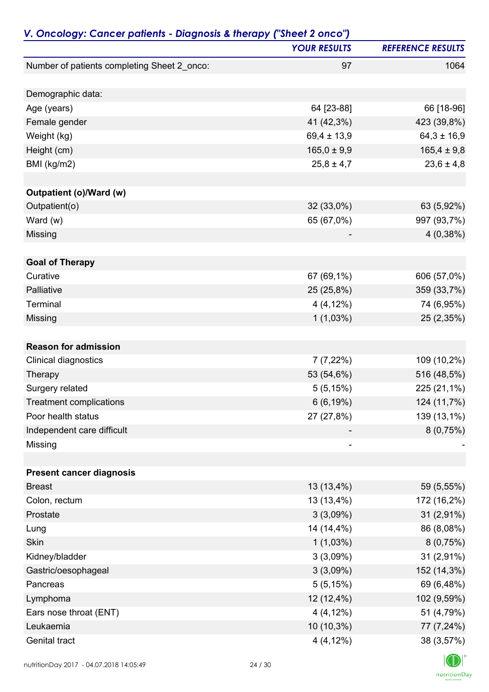| V. Oncology: Cancer patients - Diagnosis & therapy ("Sheet 2 onco") |                     |                          |
|---------------------------------------------------------------------|---------------------|--------------------------|
|                                                                     | <b>YOUR RESULTS</b> | <b>REFERENCE RESULTS</b> |
| Number of patients completing Sheet 2_onco:                         | 97                  | 1064                     |
| Demographic data:                                                   |                     |                          |
| Age (years)                                                         | 64 [23-88]          | 66 [18-96]               |
| Female gender                                                       | 41 (42,3%)          | 423 (39,8%)              |
| Weight (kg)                                                         | $69,4 \pm 13,9$     | $64,3 \pm 16,9$          |
| Height (cm)                                                         | $165,0 \pm 9,9$     | $165,4 \pm 9,8$          |
| BMI (kg/m2)                                                         | $25,8 \pm 4,7$      | $23,6 \pm 4,8$           |
| Outpatient (o)/Ward (w)                                             |                     |                          |
| Outpatient(o)                                                       | 32 (33,0%)          | 63 (5,92%)               |
| Ward $(w)$                                                          | 65 (67,0%)          | 997 (93,7%)              |
| Missing                                                             |                     | 4(0,38%)                 |
| <b>Goal of Therapy</b>                                              |                     |                          |
| Curative                                                            | 67 (69,1%)          | 606 (57,0%)              |
| Palliative                                                          | 25 (25,8%)          | 359 (33,7%)              |
| Terminal                                                            | $4(4,12\%)$         | 74 (6,95%)               |
| Missing                                                             | 1(1,03%)            | 25 (2,35%)               |
|                                                                     |                     |                          |
| <b>Reason for admission</b>                                         |                     |                          |
| Clinical diagnostics                                                | $7(7,22\%)$         | 109 (10,2%)              |
| Therapy                                                             | 53 (54,6%)          | 516 (48,5%)              |
| Surgery related                                                     | 5(5,15%)            | 225 (21,1%)              |
| <b>Treatment complications</b>                                      | 6(6, 19%)           | 124 (11,7%)              |
| Poor health status                                                  | 27 (27,8%)          | 139 (13,1%)              |
| Independent care difficult                                          |                     | 8(0,75%)                 |
| Missing                                                             |                     |                          |
| <b>Present cancer diagnosis</b>                                     |                     |                          |
| <b>Breast</b>                                                       | 13 (13,4%)          | 59 (5,55%)               |
| Colon, rectum                                                       | 13 (13,4%)          | 172 (16,2%)              |
| Prostate                                                            | 3(3,09%)            | $31(2,91\%)$             |
| Lung                                                                | 14 (14,4%)          | 86 (8,08%)               |
| Skin                                                                | $1(1,03\%)$         | 8(0,75%)                 |
| Kidney/bladder                                                      | 3(3,09%)            | 31 (2,91%)               |
| Gastric/oesophageal                                                 | 3(3,09%)            | 152 (14,3%)              |
| Pancreas                                                            | 5(5,15%)            | 69 (6,48%)               |
| Lymphoma                                                            | 12 (12,4%)          | 102 (9,59%)              |
| Ears nose throat (ENT)                                              | $4(4,12\%)$         | 51 (4,79%)               |
| Leukaemia                                                           | 10 (10,3%)          | 77 (7,24%)               |
| Genital tract                                                       | $4(4,12\%)$         | 38 (3,57%)               |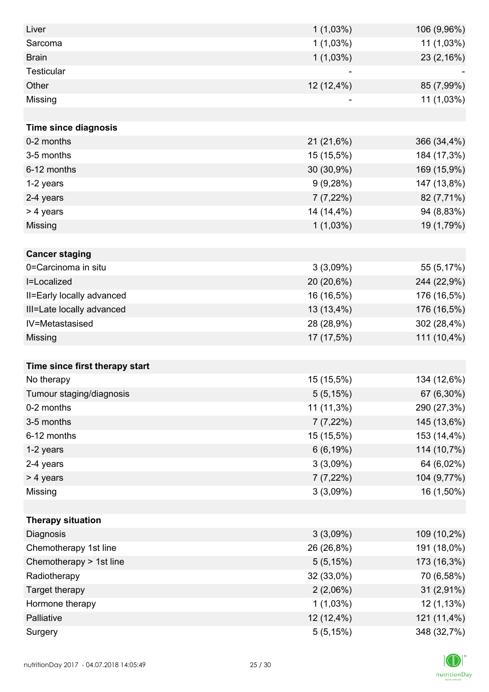| Liver                          | $1(1,03\%)$ | 106 (9,96%) |
|--------------------------------|-------------|-------------|
| Sarcoma                        | $1(1,03\%)$ | 11 (1,03%)  |
| <b>Brain</b>                   | 1(1,03%)    | 23 (2,16%)  |
| <b>Testicular</b>              |             |             |
| Other                          | 12 (12,4%)  | 85 (7,99%)  |
| Missing                        |             | 11 (1,03%)  |
|                                |             |             |
| <b>Time since diagnosis</b>    |             |             |
| 0-2 months                     | 21 (21,6%)  | 366 (34,4%) |
| 3-5 months                     | 15 (15,5%)  | 184 (17,3%) |
| 6-12 months                    | 30 (30,9%)  | 169 (15,9%) |
| 1-2 years                      | 9(9,28%)    | 147 (13,8%) |
| 2-4 years                      | $7(7,22\%)$ | 82 (7,71%)  |
| > 4 years                      | 14 (14,4%)  | 94 (8,83%)  |
| Missing                        | $1(1,03\%)$ | 19 (1,79%)  |
|                                |             |             |
| <b>Cancer staging</b>          |             |             |
| 0=Carcinoma in situ            | 3(3,09%)    | 55 (5,17%)  |
| I=Localized                    | 20 (20,6%)  | 244 (22,9%) |
| II=Early locally advanced      | 16 (16,5%)  | 176 (16,5%) |
| III=Late locally advanced      | 13 (13,4%)  | 176 (16,5%) |
| IV=Metastasised                | 28 (28,9%)  | 302 (28,4%) |
| Missing                        | 17 (17,5%)  | 111 (10,4%) |
|                                |             |             |
| Time since first therapy start |             |             |
| No therapy                     | 15 (15,5%)  | 134 (12,6%) |
| Tumour staging/diagnosis       | 5(5, 15%)   | 67 (6,30%)  |
| 0-2 months                     | 11 (11,3%)  | 290 (27,3%) |
| 3-5 months                     | 7 (7,22%)   | 145 (13,6%) |
| 6-12 months                    | 15 (15,5%)  | 153 (14,4%) |
| 1-2 years                      | 6(6,19%)    | 114 (10,7%) |
| 2-4 years                      | 3(3,09%)    | 64 (6,02%)  |
| > 4 years                      | 7(7,22%)    | 104 (9,77%) |
| Missing                        | 3(3,09%)    | 16 (1,50%)  |
|                                |             |             |
| <b>Therapy situation</b>       |             |             |
| Diagnosis                      | 3(3,09%)    | 109 (10,2%) |
| Chemotherapy 1st line          | 26 (26,8%)  | 191 (18,0%) |
| Chemotherapy > 1st line        | 5(5,15%)    | 173 (16,3%) |
| Radiotherapy                   | 32 (33,0%)  | 70 (6,58%)  |
| Target therapy                 | $2(2,06\%)$ | 31 (2,91%)  |
| Hormone therapy                | $1(1,03\%)$ | 12 (1,13%)  |
| Palliative                     | 12 (12,4%)  | 121 (11,4%) |
| Surgery                        | 5(5,15%)    | 348 (32,7%) |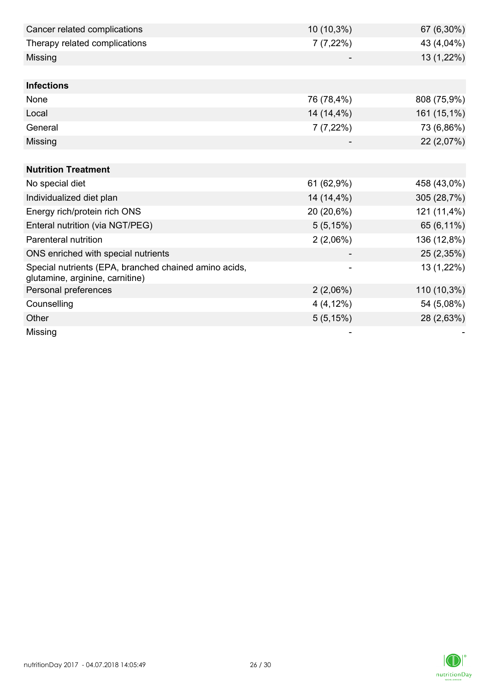| Cancer related complications                                                             | 10 (10,3%)  | 67 (6,30%)  |
|------------------------------------------------------------------------------------------|-------------|-------------|
| Therapy related complications                                                            | 7(7,22%)    | 43 (4,04%)  |
| Missing                                                                                  |             | 13 (1,22%)  |
|                                                                                          |             |             |
| <b>Infections</b>                                                                        |             |             |
| None                                                                                     | 76 (78,4%)  | 808 (75,9%) |
| Local                                                                                    | 14 (14,4%)  | 161 (15,1%) |
| General                                                                                  | $7(7,22\%)$ | 73 (6,86%)  |
| Missing                                                                                  |             | 22 (2,07%)  |
|                                                                                          |             |             |
| <b>Nutrition Treatment</b>                                                               |             |             |
| No special diet                                                                          | 61 (62,9%)  | 458 (43,0%) |
| Individualized diet plan                                                                 | 14 (14,4%)  | 305 (28,7%) |
| Energy rich/protein rich ONS                                                             | 20 (20,6%)  | 121 (11,4%) |
| Enteral nutrition (via NGT/PEG)                                                          | 5(5,15%)    | 65 (6,11%)  |
| Parenteral nutrition                                                                     | 2(2,06%)    | 136 (12,8%) |
| ONS enriched with special nutrients                                                      |             | 25 (2,35%)  |
| Special nutrients (EPA, branched chained amino acids,<br>glutamine, arginine, carnitine) |             | 13 (1,22%)  |
| Personal preferences                                                                     | 2(2,06%)    | 110 (10,3%) |
| Counselling                                                                              | $4(4,12\%)$ | 54 (5,08%)  |
| Other                                                                                    | 5(5,15%)    | 28 (2,63%)  |
| Missing                                                                                  |             |             |

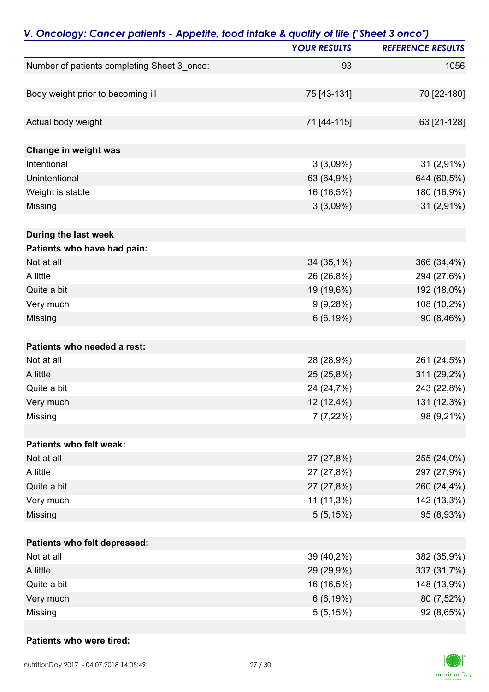| V. Oncology: Cancer patients - Appetite, food intake & quality of life ("Sheet 3 onco") |                     |                          |
|-----------------------------------------------------------------------------------------|---------------------|--------------------------|
|                                                                                         | <b>YOUR RESULTS</b> | <b>REFERENCE RESULTS</b> |
| Number of patients completing Sheet 3_onco:                                             | 93                  | 1056                     |
| Body weight prior to becoming ill                                                       | 75 [43-131]         | 70 [22-180]              |
|                                                                                         |                     |                          |
| Actual body weight                                                                      | 71 [44-115]         | 63 [21-128]              |
| Change in weight was                                                                    |                     |                          |
| Intentional                                                                             | 3(3,09%)            | 31 (2,91%)               |
| Unintentional                                                                           | 63 (64,9%)          | 644 (60,5%)              |
| Weight is stable                                                                        | 16 (16,5%)          | 180 (16,9%)              |
| Missing                                                                                 | $3(3,09\%)$         | 31 (2,91%)               |
| During the last week                                                                    |                     |                          |
| Patients who have had pain:                                                             |                     |                          |
| Not at all                                                                              | 34 (35,1%)          | 366 (34,4%)              |
| A little                                                                                | 26 (26,8%)          | 294 (27,6%)              |
| Quite a bit                                                                             | 19 (19,6%)          | 192 (18,0%)              |
| Very much                                                                               | 9(9,28%)            | 108 (10,2%)              |
| Missing                                                                                 | 6(6, 19%)           | 90 (8,46%)               |
| Patients who needed a rest:                                                             |                     |                          |
| Not at all                                                                              | 28 (28,9%)          | 261 (24,5%)              |
| A little                                                                                | 25 (25,8%)          | 311 (29,2%)              |
| Quite a bit                                                                             | 24 (24,7%)          | 243 (22,8%)              |
| Very much                                                                               | 12 (12,4%)          | 131 (12,3%)              |
| Missing                                                                                 | $7(7,22\%)$         | 98 (9,21%)               |
| Patients who felt weak:                                                                 |                     |                          |
| Not at all                                                                              | 27 (27,8%)          | 255 (24,0%)              |
| A little                                                                                | 27 (27,8%)          | 297 (27,9%)              |
| Quite a bit                                                                             | 27 (27,8%)          | 260 (24,4%)              |
| Very much                                                                               | 11 (11,3%)          | 142 (13,3%)              |
| Missing                                                                                 | 5(5,15%)            | 95 (8,93%)               |
| Patients who felt depressed:                                                            |                     |                          |
| Not at all                                                                              | 39 (40,2%)          | 382 (35,9%)              |
| A little                                                                                | 29 (29,9%)          | 337 (31,7%)              |
| Quite a bit                                                                             | 16 (16,5%)          | 148 (13,9%)              |
| Very much                                                                               | 6(6, 19%)           | 80 (7,52%)               |
| Missing                                                                                 | 5(5,15%)            | 92 (8,65%)               |

### **Patients who were tired:**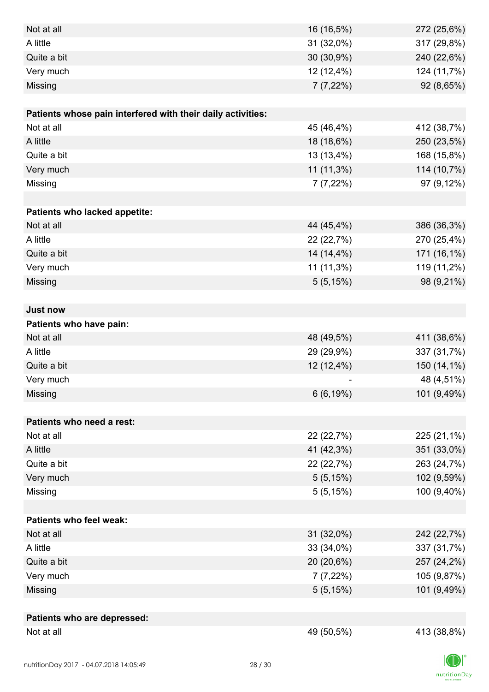| Not at all                                                  | 16 (16,5%)  | 272 (25,6%) |
|-------------------------------------------------------------|-------------|-------------|
| A little                                                    | 31 (32,0%)  | 317 (29,8%) |
| Quite a bit                                                 | 30 (30,9%)  | 240 (22,6%) |
| Very much                                                   | 12 (12,4%)  | 124 (11,7%) |
| Missing                                                     | $7(7,22\%)$ | 92 (8,65%)  |
|                                                             |             |             |
| Patients whose pain interfered with their daily activities: |             |             |
| Not at all                                                  | 45 (46,4%)  | 412 (38,7%) |
| A little                                                    | 18 (18,6%)  | 250 (23,5%) |
| Quite a bit                                                 | 13 (13,4%)  | 168 (15,8%) |
| Very much                                                   | 11 (11,3%)  | 114 (10,7%) |
| Missing                                                     | $7(7,22\%)$ | 97 (9,12%)  |
|                                                             |             |             |
| Patients who lacked appetite:                               |             |             |
| Not at all                                                  | 44 (45,4%)  | 386 (36,3%) |
| A little                                                    | 22 (22,7%)  | 270 (25,4%) |
| Quite a bit                                                 | 14 (14,4%)  | 171 (16,1%) |
| Very much                                                   | 11 (11,3%)  | 119 (11,2%) |
| Missing                                                     | 5(5,15%)    | 98 (9,21%)  |
|                                                             |             |             |
| <b>Just now</b>                                             |             |             |
| Patients who have pain:                                     |             |             |
| Not at all                                                  | 48 (49,5%)  | 411 (38,6%) |
| A little                                                    | 29 (29,9%)  | 337 (31,7%) |
| Quite a bit                                                 | 12 (12,4%)  | 150 (14,1%) |
| Very much                                                   |             | 48 (4,51%)  |
| Missing                                                     | 6(6, 19%)   | 101 (9,49%) |
|                                                             |             |             |
| Patients who need a rest:                                   |             |             |
| Not at all                                                  | 22 (22,7%)  | 225 (21,1%) |
| A little                                                    | 41 (42,3%)  | 351 (33,0%) |
| Quite a bit                                                 | 22 (22,7%)  | 263 (24,7%) |
| Very much                                                   | 5(5,15%)    | 102 (9,59%) |
| Missing                                                     | 5(5,15%)    | 100 (9,40%) |
|                                                             |             |             |
| <b>Patients who feel weak:</b>                              |             |             |
| Not at all                                                  | 31 (32,0%)  | 242 (22,7%) |
| A little                                                    | 33 (34,0%)  | 337 (31,7%) |
| Quite a bit                                                 | 20 (20,6%)  | 257 (24,2%) |
| Very much                                                   | $7(7,22\%)$ | 105 (9,87%) |
| Missing                                                     | 5(5,15%)    | 101 (9,49%) |
|                                                             |             |             |
| Patients who are depressed:<br>Not at all                   |             |             |
|                                                             | 49 (50,5%)  | 413 (38,8%) |

 $|D|$  $nutri   
tion Day$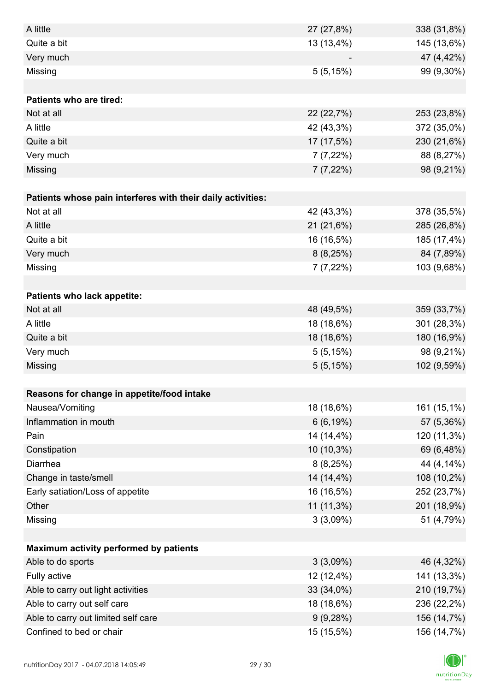| A little                                                    | 27 (27,8%)  | 338 (31,8%) |
|-------------------------------------------------------------|-------------|-------------|
| Quite a bit                                                 | 13 (13,4%)  | 145 (13,6%) |
| Very much                                                   |             | 47 (4,42%)  |
| Missing                                                     | 5(5,15%)    | 99 (9,30%)  |
|                                                             |             |             |
| Patients who are tired:                                     |             |             |
| Not at all                                                  | 22 (22,7%)  | 253 (23,8%) |
| A little                                                    | 42 (43,3%)  | 372 (35,0%) |
| Quite a bit                                                 | 17 (17,5%)  | 230 (21,6%) |
| Very much                                                   | $7(7,22\%)$ | 88 (8,27%)  |
| Missing                                                     | $7(7,22\%)$ | 98 (9,21%)  |
|                                                             |             |             |
| Patients whose pain interferes with their daily activities: |             |             |
| Not at all                                                  | 42 (43,3%)  | 378 (35,5%) |
| A little                                                    | 21 (21,6%)  | 285 (26,8%) |
| Quite a bit                                                 | 16 (16,5%)  | 185 (17,4%) |
| Very much                                                   | 8(8,25%)    | 84 (7,89%)  |
| Missing                                                     | $7(7,22\%)$ | 103 (9,68%) |
|                                                             |             |             |
| Patients who lack appetite:                                 |             |             |
| Not at all                                                  | 48 (49,5%)  | 359 (33,7%) |
| A little                                                    | 18 (18,6%)  | 301 (28,3%) |
| Quite a bit                                                 | 18 (18,6%)  | 180 (16,9%) |
| Very much                                                   | 5(5,15%)    | 98 (9,21%)  |
| Missing                                                     | 5(5,15%)    | 102 (9,59%) |
|                                                             |             |             |
| Reasons for change in appetite/food intake                  |             |             |
| Nausea/Vomiting                                             | 18 (18,6%)  | 161 (15,1%) |
| Inflammation in mouth                                       | 6(6, 19%)   | 57 (5,36%)  |
| Pain                                                        | 14 (14,4%)  | 120 (11,3%) |
| Constipation                                                | 10 (10,3%)  | 69 (6,48%)  |
| Diarrhea                                                    | 8(8,25%)    | 44 (4,14%)  |
| Change in taste/smell                                       | 14 (14,4%)  | 108 (10,2%) |
| Early satiation/Loss of appetite                            | 16 (16,5%)  | 252 (23,7%) |
| Other                                                       | 11 (11,3%)  | 201 (18,9%) |
| Missing                                                     | 3(3,09%)    | 51 (4,79%)  |
|                                                             |             |             |
| Maximum activity performed by patients                      |             |             |
| Able to do sports                                           | 3(3,09%)    | 46 (4,32%)  |
| Fully active                                                | 12 (12,4%)  | 141 (13,3%) |
| Able to carry out light activities                          | 33 (34,0%)  | 210 (19,7%) |
| Able to carry out self care                                 | 18 (18,6%)  | 236 (22,2%) |
| Able to carry out limited self care                         | 9(9,28%)    | 156 (14,7%) |
| Confined to bed or chair                                    | 15 (15,5%)  | 156 (14,7%) |